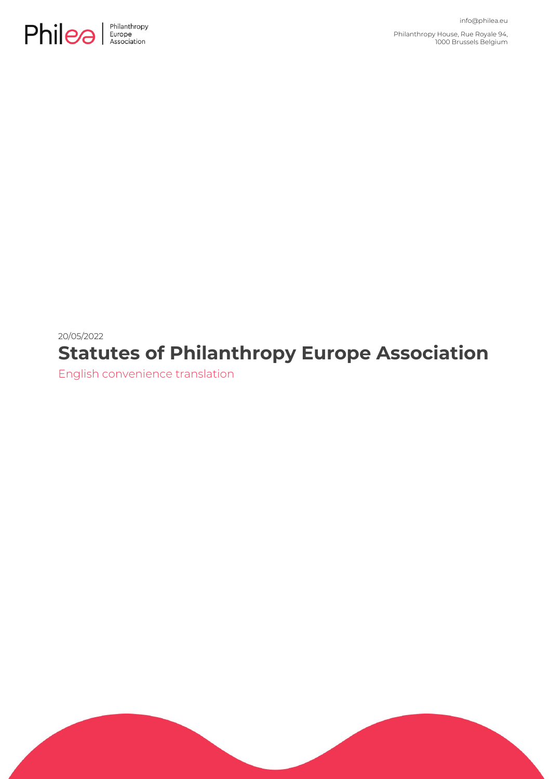

Philanthropy House, Rue Royale 94, 1000 Brussels Belgium

# 20/05/2022 **Statutes of Philanthropy Europe Association**

English convenience translation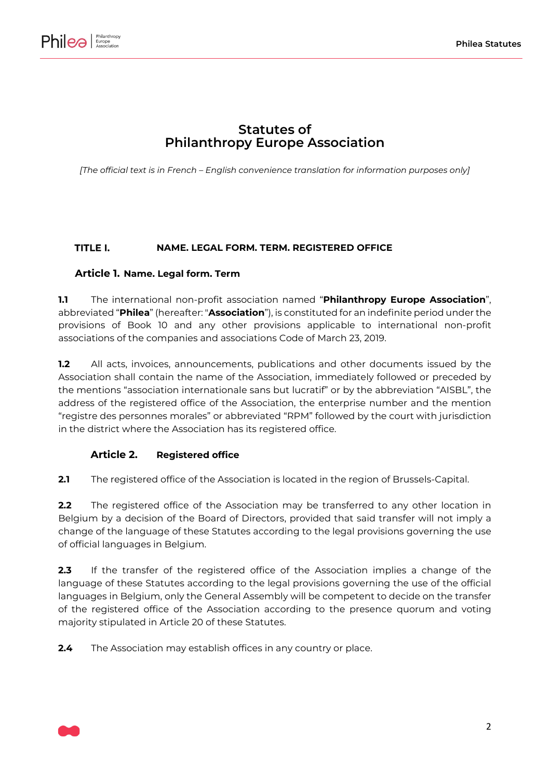

# **Statutes of Philanthropy Europe Association**

*[The official text is in French – English convenience translation for information purposes only]*

#### <span id="page-1-0"></span>TITLE I. **NAME. LEGAL FORM. TERM. REGISTERED OFFICE**

### <span id="page-1-1"></span>**Article 1. Name. Legal form. Term**

**1.1** The international non-profit association named "**Philanthropy Europe Association**", abbreviated "**Philea**" (hereafter: "**Association**"), is constituted for an indefinite period under the provisions of Book 10 and any other provisions applicable to international non-profit associations of the companies and associations Code of March 23, 2019.

**1.2** All acts, invoices, announcements, publications and other documents issued by the Association shall contain the name of the Association, immediately followed or preceded by the mentions "association internationale sans but lucratif" or by the abbreviation "AISBL", the address of the registered office of the Association, the enterprise number and the mention "registre des personnes morales" or abbreviated "RPM" followed by the court with jurisdiction in the district where the Association has its registered office.

#### **Article 2. Registered office**

**2.1** The registered office of the Association is located in the region of Brussels-Capital.

**2.2** The registered office of the Association may be transferred to any other location in Belgium by a decision of the Board of Directors, provided that said transfer will not imply a change of the language of these Statutes according to the legal provisions governing the use of official languages in Belgium.

**2.3** If the transfer of the registered office of the Association implies a change of the language of these Statutes according to the legal provisions governing the use of the official languages in Belgium, only the General Assembly will be competent to decide on the transfer of the registered office of the Association according to the presence quorum and voting majority stipulated in [Article 20](#page-12-0) of these Statutes.

**2.4** The Association may establish offices in any country or place.

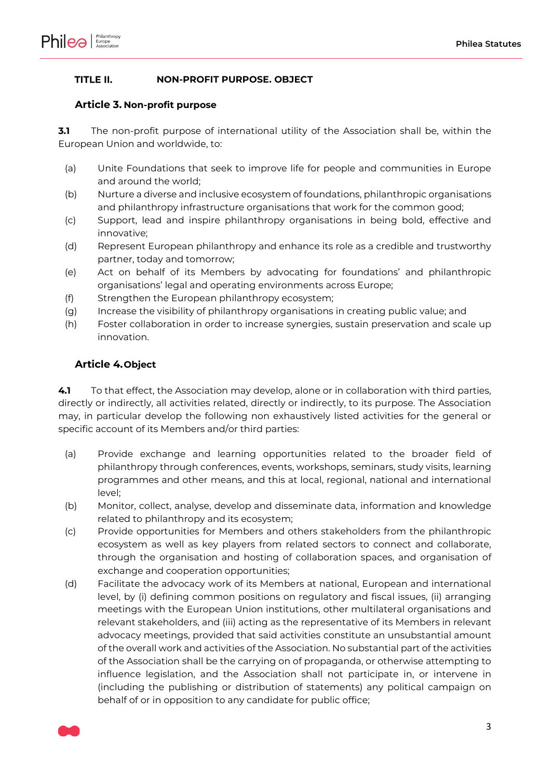

#### <span id="page-2-1"></span>TITLE II. **NON-PROFIT PURPOSE. OBJECT**

#### <span id="page-2-0"></span>**Article 3. Non-profit purpose**

**3.1** The non-profit purpose of international utility of the Association shall be, within the European Union and worldwide, to:

- (a) Unite Foundations that seek to improve life for people and communities in Europe and around the world;
- (b) Nurture a diverse and inclusive ecosystem of foundations, philanthropic organisations and philanthropy infrastructure organisations that work for the common good;
- (c) Support, lead and inspire philanthropy organisations in being bold, effective and innovative;
- (d) Represent European philanthropy and enhance its role as a credible and trustworthy partner, today and tomorrow;
- (e) Act on behalf of its Members by advocating for foundations' and philanthropic organisations' legal and operating environments across Europe;
- (f) Strengthen the European philanthropy ecosystem;
- (g) Increase the visibility of philanthropy organisations in creating public value; and
- (h) Foster collaboration in order to increase synergies, sustain preservation and scale up innovation.

### <span id="page-2-2"></span>**Article 4.Object**

**4.1** To that effect, the Association may develop, alone or in collaboration with third parties, directly or indirectly, all activities related, directly or indirectly, to its purpose. The Association may, in particular develop the following non exhaustively listed activities for the general or specific account of its Members and/or third parties:

- (a) Provide exchange and learning opportunities related to the broader field of philanthropy through conferences, events, workshops, seminars, study visits, learning programmes and other means, and this at local, regional, national and international level;
- (b) Monitor, collect, analyse, develop and disseminate data, information and knowledge related to philanthropy and its ecosystem;
- (c) Provide opportunities for Members and others stakeholders from the philanthropic ecosystem as well as key players from related sectors to connect and collaborate, through the organisation and hosting of collaboration spaces, and organisation of exchange and cooperation opportunities;
- (d) Facilitate the advocacy work of its Members at national, European and international level, by (i) defining common positions on regulatory and fiscal issues, (ii) arranging meetings with the European Union institutions, other multilateral organisations and relevant stakeholders, and (iii) acting as the representative of its Members in relevant advocacy meetings, provided that said activities constitute an unsubstantial amount of the overall work and activities of the Association. No substantial part of the activities of the Association shall be the carrying on of propaganda, or otherwise attempting to influence legislation, and the Association shall not participate in, or intervene in (including the publishing or distribution of statements) any political campaign on behalf of or in opposition to any candidate for public office;

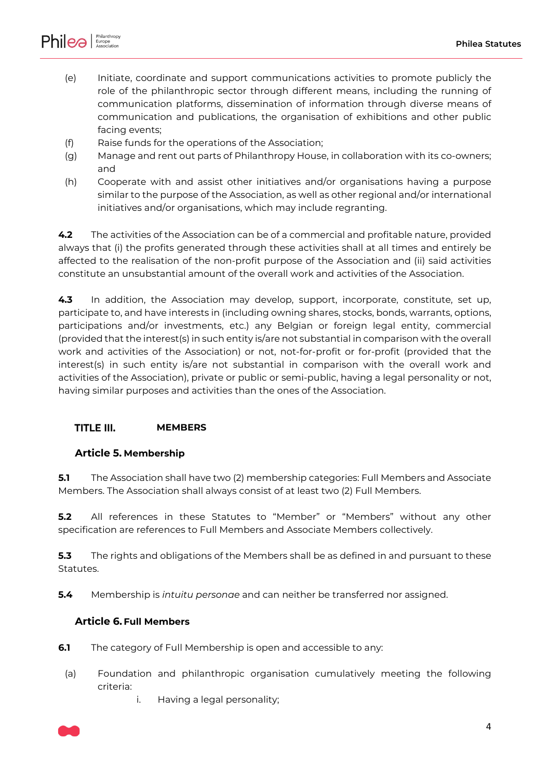

- (e) Initiate, coordinate and support communications activities to promote publicly the role of the philanthropic sector through different means, including the running of communication platforms, dissemination of information through diverse means of communication and publications, the organisation of exhibitions and other public facing events;
- (f) Raise funds for the operations of the Association;
- (g) Manage and rent out parts of Philanthropy House, in collaboration with its co-owners; and
- (h) Cooperate with and assist other initiatives and/or organisations having a purpose similar to the purpose of the Association, as well as other regional and/or international initiatives and/or organisations, which may include regranting.

**4.2** The activities of the Association can be of a commercial and profitable nature, provided always that (i) the profits generated through these activities shall at all times and entirely be affected to the realisation of the non-profit purpose of the Association and (ii) said activities constitute an unsubstantial amount of the overall work and activities of the Association.

**4.3** In addition, the Association may develop, support, incorporate, constitute, set up, participate to, and have interests in (including owning shares, stocks, bonds, warrants, options, participations and/or investments, etc.) any Belgian or foreign legal entity, commercial (provided that the interest(s) in such entity is/are not substantial in comparison with the overall work and activities of the Association) or not, not-for-profit or for-profit (provided that the interest(s) in such entity is/are not substantial in comparison with the overall work and activities of the Association), private or public or semi-public, having a legal personality or not, having similar purposes and activities than the ones of the Association.

#### <span id="page-3-1"></span>TITLE III. **MEMBERS**

### <span id="page-3-2"></span>**Article 5. Membership**

**5.1** The Association shall have two (2) membership categories: Full Members and Associate Members. The Association shall always consist of at least two (2) Full Members.

**5.2** All references in these Statutes to "Member" or "Members" without any other specification are references to Full Members and Associate Members collectively.

**5.3** The rights and obligations of the Members shall be as defined in and pursuant to these Statutes.

**5.4** Membership is *intuitu personae* and can neither be transferred nor assigned.

#### <span id="page-3-0"></span>**Article 6. Full Members**

- **6.1** The category of Full Membership is open and accessible to any:
- (a) Foundation and philanthropic organisation cumulatively meeting the following criteria:
	- i. Having a legal personality;

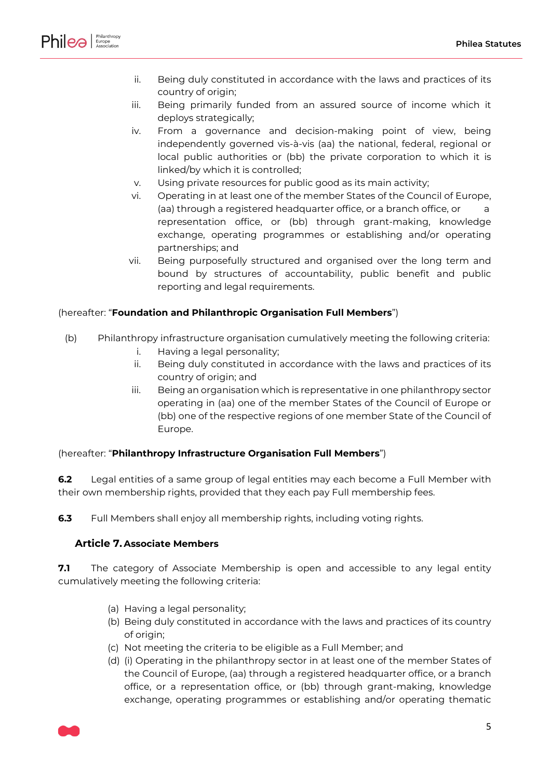

- ii. Being duly constituted in accordance with the laws and practices of its country of origin;
- iii. Being primarily funded from an assured source of income which it deploys strategically;
- iv. From a governance and decision-making point of view, being independently governed vis-à-vis (aa) the national, federal, regional or local public authorities or (bb) the private corporation to which it is linked/by which it is controlled;
- v. Using private resources for public good as its main activity;
- vi. Operating in at least one of the member States of the Council of Europe, (aa) through a registered headquarter office, or a branch office, or a representation office, or (bb) through grant-making, knowledge exchange, operating programmes or establishing and/or operating partnerships; and
- vii. Being purposefully structured and organised over the long term and bound by structures of accountability, public benefit and public reporting and legal requirements.

#### (hereafter: "**Foundation and Philanthropic Organisation Full Members**")

- (b) Philanthropy infrastructure organisation cumulatively meeting the following criteria:
	- i. Having a legal personality;
	- ii. Being duly constituted in accordance with the laws and practices of its country of origin; and
	- iii. Being an organisation which is representative in one philanthropy sector operating in (aa) one of the member States of the Council of Europe or (bb) one of the respective regions of one member State of the Council of Europe.

#### (hereafter: "**Philanthropy Infrastructure Organisation Full Members**")

**6.2** Legal entities of a same group of legal entities may each become a Full Member with their own membership rights, provided that they each pay Full membership fees.

**6.3** Full Members shall enjoy all membership rights, including voting rights.

### <span id="page-4-0"></span>**Article 7. Associate Members**

**7.1** The category of Associate Membership is open and accessible to any legal entity cumulatively meeting the following criteria:

- (a) Having a legal personality;
- (b) Being duly constituted in accordance with the laws and practices of its country of origin;
- (c) Not meeting the criteria to be eligible as a Full Member; and
- (d) (i) Operating in the philanthropy sector in at least one of the member States of the Council of Europe, (aa) through a registered headquarter office, or a branch office, or a representation office, or (bb) through grant-making, knowledge exchange, operating programmes or establishing and/or operating thematic

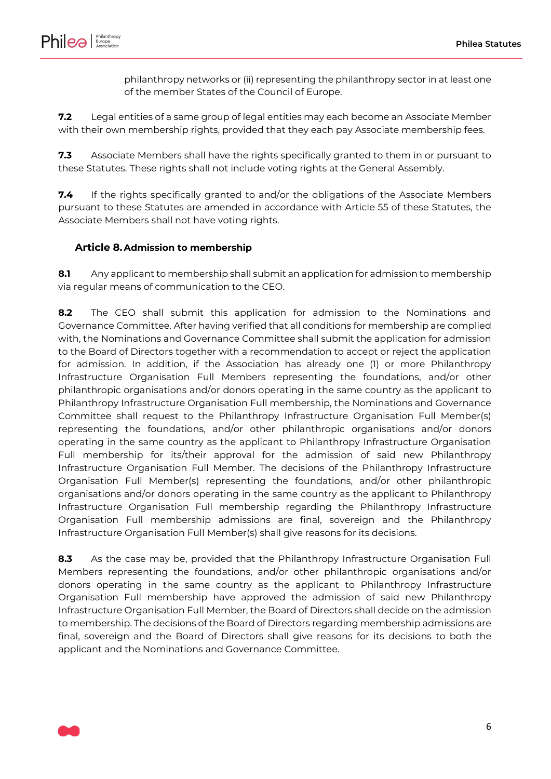

philanthropy networks or (ii) representing the philanthropy sector in at least one of the member States of the Council of Europe.

**7.2** Legal entities of a same group of legal entities may each become an Associate Member with their own membership rights, provided that they each pay Associate membership fees.

**7.3** Associate Members shall have the rights specifically granted to them in or pursuant to these Statutes. These rights shall not include voting rights at the General Assembly.

**7.4** If the rights specifically granted to and/or the obligations of the Associate Members pursuant to these Statutes are amended in accordance with [Article 55](#page-40-0) of these Statutes, the Associate Members shall not have voting rights.

#### <span id="page-5-0"></span>**Article 8.Admission to membership**

**8.1** Any applicant to membership shall submit an application for admission to membership via regular means of communication to the CEO.

**8.2** The CEO shall submit this application for admission to the Nominations and Governance Committee. After having verified that all conditions for membership are complied with, the Nominations and Governance Committee shall submit the application for admission to the Board of Directors together with a recommendation to accept or reject the application for admission. In addition, if the Association has already one (1) or more Philanthropy Infrastructure Organisation Full Members representing the foundations, and/or other philanthropic organisations and/or donors operating in the same country as the applicant to Philanthropy Infrastructure Organisation Full membership, the Nominations and Governance Committee shall request to the Philanthropy Infrastructure Organisation Full Member(s) representing the foundations, and/or other philanthropic organisations and/or donors operating in the same country as the applicant to Philanthropy Infrastructure Organisation Full membership for its/their approval for the admission of said new Philanthropy Infrastructure Organisation Full Member. The decisions of the Philanthropy Infrastructure Organisation Full Member(s) representing the foundations, and/or other philanthropic organisations and/or donors operating in the same country as the applicant to Philanthropy Infrastructure Organisation Full membership regarding the Philanthropy Infrastructure Organisation Full membership admissions are final, sovereign and the Philanthropy Infrastructure Organisation Full Member(s) shall give reasons for its decisions.

**8.3** As the case may be, provided that the Philanthropy Infrastructure Organisation Full Members representing the foundations, and/or other philanthropic organisations and/or donors operating in the same country as the applicant to Philanthropy Infrastructure Organisation Full membership have approved the admission of said new Philanthropy Infrastructure Organisation Full Member, the Board of Directors shall decide on the admission to membership. The decisions of the Board of Directors regarding membership admissions are final, sovereign and the Board of Directors shall give reasons for its decisions to both the applicant and the Nominations and Governance Committee.

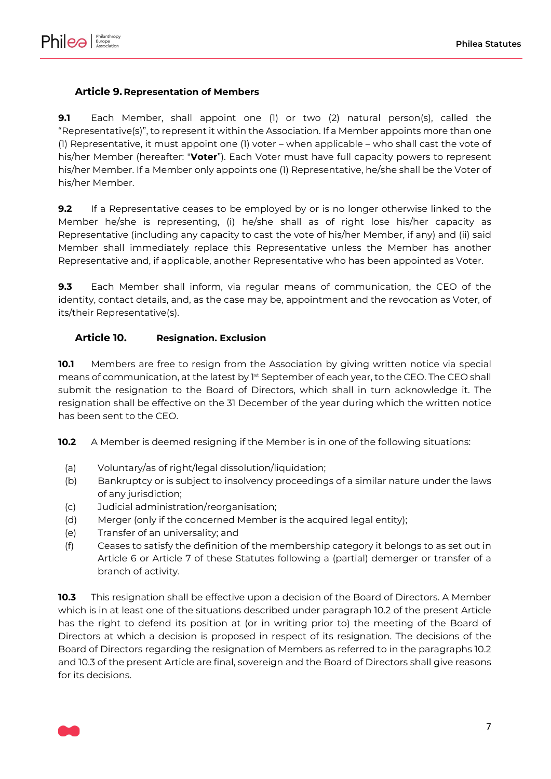

# <span id="page-6-3"></span>**Article 9. Representation of Members**

**9.1** Each Member, shall appoint one (1) or two (2) natural person(s), called the "Representative(s)", to represent it within the Association. If a Member appoints more than one (1) Representative, it must appoint one (1) voter – when applicable – who shall cast the vote of his/her Member (hereafter: "**Voter**"). Each Voter must have full capacity powers to represent his/her Member. If a Member only appoints one (1) Representative, he/she shall be the Voter of his/her Member.

**9.2** If a Representative ceases to be employed by or is no longer otherwise linked to the Member he/she is representing, (i) he/she shall as of right lose his/her capacity as Representative (including any capacity to cast the vote of his/her Member, if any) and (ii) said Member shall immediately replace this Representative unless the Member has another Representative and, if applicable, another Representative who has been appointed as Voter.

**9.3** Each Member shall inform, via regular means of communication, the CEO of the identity, contact details, and, as the case may be, appointment and the revocation as Voter, of its/their Representative(s).

### <span id="page-6-2"></span>**Article 10. Resignation. Exclusion**

<span id="page-6-4"></span>**10.1** Members are free to resign from the Association by giving written notice via special means of communication, at the latest by 1st September of each year, to the CEO. The CEO shall submit the resignation to the Board of Directors, which shall in turn acknowledge it. The resignation shall be effective on the 31 December of the year during which the written notice has been sent to the CEO.

<span id="page-6-0"></span>**10.2** A Member is deemed resigning if the Member is in one of the following situations:

- (a) Voluntary/as of right/legal dissolution/liquidation;
- (b) Bankruptcy or is subject to insolvency proceedings of a similar nature under the laws of any jurisdiction;
- (c) Judicial administration/reorganisation;
- (d) Merger (only if the concerned Member is the acquired legal entity);
- (e) Transfer of an universality; and
- (f) Ceases to satisfy the definition of the membership category it belongs to as set out in [Article 6](#page-3-0) or [Article 7](#page-4-0) of these Statutes following a (partial) demerger or transfer of a branch of activity.

<span id="page-6-1"></span>**10.3** This resignation shall be effective upon a decision of the Board of Directors. A Member which is in at least one of the situations described under paragraph [10.2](#page-6-0) of the present Article has the right to defend its position at (or in writing prior to) the meeting of the Board of Directors at which a decision is proposed in respect of its resignation. The decisions of the Board of Directors regarding the resignation of Members as referred to in the paragraphs [10.2](#page-6-0) and [10.3](#page-6-1) of the present Article are final, sovereign and the Board of Directors shall give reasons for its decisions.

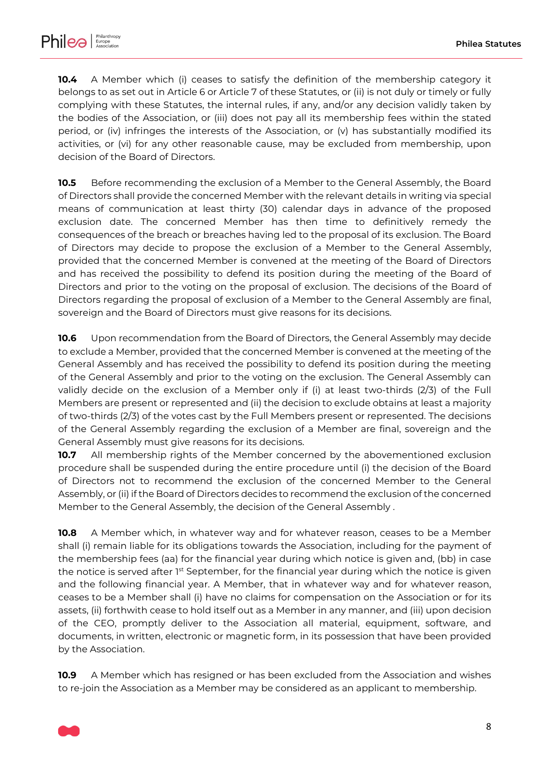

**10.4** A Member which (i) ceases to satisfy the definition of the membership category it belongs to as set out in [Article 6](#page-3-0) or [Article 7](#page-4-0) of these Statutes, or (ii) is not duly or timely or fully complying with these Statutes, the internal rules, if any, and/or any decision validly taken by the bodies of the Association, or (iii) does not pay all its membership fees within the stated period, or (iv) infringes the interests of the Association, or (v) has substantially modified its activities, or (vi) for any other reasonable cause, may be excluded from membership, upon decision of the Board of Directors.

**10.5** Before recommending the exclusion of a Member to the General Assembly, the Board of Directors shall provide the concerned Member with the relevant details in writing via special means of communication at least thirty (30) calendar days in advance of the proposed exclusion date. The concerned Member has then time to definitively remedy the consequences of the breach or breaches having led to the proposal of its exclusion. The Board of Directors may decide to propose the exclusion of a Member to the General Assembly, provided that the concerned Member is convened at the meeting of the Board of Directors and has received the possibility to defend its position during the meeting of the Board of Directors and prior to the voting on the proposal of exclusion. The decisions of the Board of Directors regarding the proposal of exclusion of a Member to the General Assembly are final, sovereign and the Board of Directors must give reasons for its decisions.

**10.6** Upon recommendation from the Board of Directors, the General Assembly may decide to exclude a Member, provided that the concerned Member is convened at the meeting of the General Assembly and has received the possibility to defend its position during the meeting of the General Assembly and prior to the voting on the exclusion. The General Assembly can validly decide on the exclusion of a Member only if (i) at least two-thirds (2/3) of the Full Members are present or represented and (ii) the decision to exclude obtains at least a majority of two-thirds (2/3) of the votes cast by the Full Members present or represented. The decisions of the General Assembly regarding the exclusion of a Member are final, sovereign and the General Assembly must give reasons for its decisions.

**10.7** All membership rights of the Member concerned by the abovementioned exclusion procedure shall be suspended during the entire procedure until (i) the decision of the Board of Directors not to recommend the exclusion of the concerned Member to the General Assembly, or (ii) if the Board of Directors decides to recommend the exclusion of the concerned Member to the General Assembly, the decision of the General Assembly .

**10.8** A Member which, in whatever way and for whatever reason, ceases to be a Member shall (i) remain liable for its obligations towards the Association, including for the payment of the membership fees (aa) for the financial year during which notice is given and, (bb) in case the notice is served after 1<sup>st</sup> September, for the financial year during which the notice is given and the following financial year. A Member, that in whatever way and for whatever reason, ceases to be a Member shall (i) have no claims for compensation on the Association or for its assets, (ii) forthwith cease to hold itself out as a Member in any manner, and (iii) upon decision of the CEO, promptly deliver to the Association all material, equipment, software, and documents, in written, electronic or magnetic form, in its possession that have been provided by the Association.

**10.9** A Member which has resigned or has been excluded from the Association and wishes to re-join the Association as a Member may be considered as an applicant to membership.

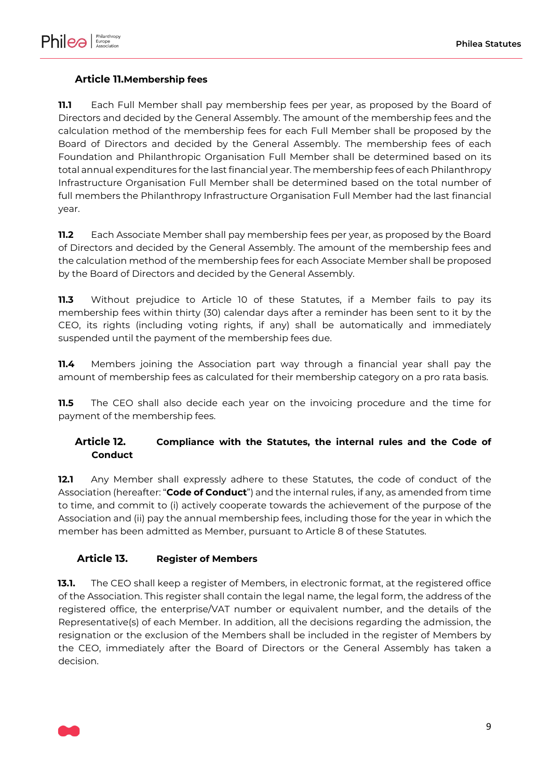

# <span id="page-8-0"></span>**Article 11.Membership fees**

**11.1** Each Full Member shall pay membership fees per year, as proposed by the Board of Directors and decided by the General Assembly. The amount of the membership fees and the calculation method of the membership fees for each Full Member shall be proposed by the Board of Directors and decided by the General Assembly. The membership fees of each Foundation and Philanthropic Organisation Full Member shall be determined based on its total annual expenditures for the last financial year. The membership fees of each Philanthropy Infrastructure Organisation Full Member shall be determined based on the total number of full members the Philanthropy Infrastructure Organisation Full Member had the last financial year.

**11.2** Each Associate Member shall pay membership fees per year, as proposed by the Board of Directors and decided by the General Assembly. The amount of the membership fees and the calculation method of the membership fees for each Associate Member shall be proposed by the Board of Directors and decided by the General Assembly.

**11.3** Without prejudice to [Article 10](#page-6-2) of these Statutes, if a Member fails to pay its membership fees within thirty (30) calendar days after a reminder has been sent to it by the CEO, its rights (including voting rights, if any) shall be automatically and immediately suspended until the payment of the membership fees due.

**11.4** Members joining the Association part way through a financial year shall pay the amount of membership fees as calculated for their membership category on a pro rata basis.

**11.5** The CEO shall also decide each year on the invoicing procedure and the time for payment of the membership fees.

# <span id="page-8-1"></span>**Article 12. Compliance with the Statutes, the internal rules and the Code of Conduct**

**12.1** Any Member shall expressly adhere to these Statutes, the code of conduct of the Association (hereafter: "**Code of Conduct**") and the internal rules, if any, as amended from time to time, and commit to (i) actively cooperate towards the achievement of the purpose of the Association and (ii) pay the annual membership fees, including those for the year in which the member has been admitted as Member, pursuant to [Article 8](#page-5-0) of these Statutes.

### <span id="page-8-2"></span>**Article 13. Register of Members**

**13.1.** The CEO shall keep a register of Members, in electronic format, at the registered office of the Association. This register shall contain the legal name, the legal form, the address of the registered office, the enterprise/VAT number or equivalent number, and the details of the Representative(s) of each Member. In addition, all the decisions regarding the admission, the resignation or the exclusion of the Members shall be included in the register of Members by the CEO, immediately after the Board of Directors or the General Assembly has taken a decision.

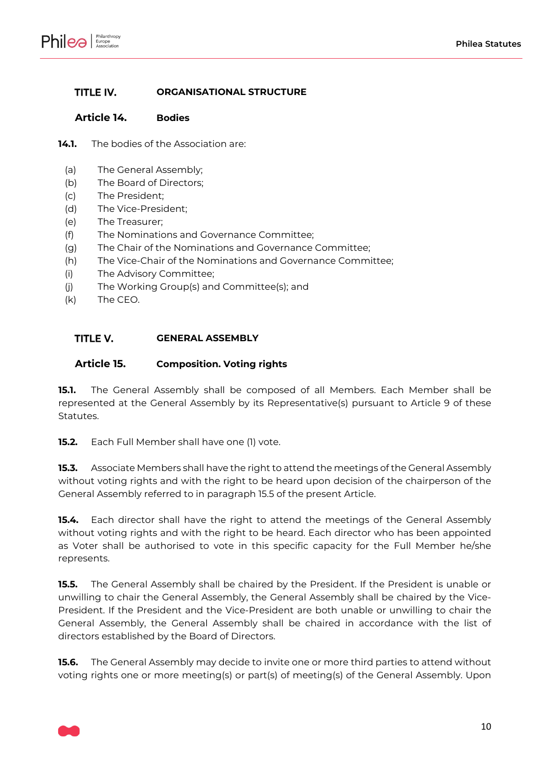

#### <span id="page-9-1"></span>TITLE IV. **ORGANISATIONAL STRUCTURE**

#### <span id="page-9-2"></span>**Article 14. Bodies**

- **14.1.** The bodies of the Association are:
	- (a) The General Assembly;
	- (b) The Board of Directors;
	- (c) The President;
	- (d) The Vice-President;
	- (e) The Treasurer;
	- (f) The Nominations and Governance Committee;
	- (g) The Chair of the Nominations and Governance Committee;
	- (h) The Vice-Chair of the Nominations and Governance Committee;
	- (i) The Advisory Committee;
	- (j) The Working Group(s) and Committee(s); and
	- (k) The CEO.

#### <span id="page-9-3"></span>TITLE V. **GENERAL ASSEMBLY**

#### <span id="page-9-4"></span>**Article 15. Composition. Voting rights**

**15.1.** The General Assembly shall be composed of all Members. Each Member shall be represented at the General Assembly by its Representative(s) pursuant to [Article 9](#page-6-3) of these Statutes.

**15.2.** Each Full Member shall have one (1) vote.

**15.3.** Associate Members shall have the right to attend the meetings of the General Assembly without voting rights and with the right to be heard upon decision of the chairperson of the General Assembly referred to in paragraph [15.5](#page-9-0) of the present Article.

**15.4.** Each director shall have the right to attend the meetings of the General Assembly without voting rights and with the right to be heard. Each director who has been appointed as Voter shall be authorised to vote in this specific capacity for the Full Member he/she represents.

<span id="page-9-0"></span>**15.5.** The General Assembly shall be chaired by the President. If the President is unable or unwilling to chair the General Assembly, the General Assembly shall be chaired by the Vice-President. If the President and the Vice-President are both unable or unwilling to chair the General Assembly, the General Assembly shall be chaired in accordance with the list of directors established by the Board of Directors.

**15.6.** The General Assembly may decide to invite one or more third parties to attend without voting rights one or more meeting(s) or part(s) of meeting(s) of the General Assembly. Upon

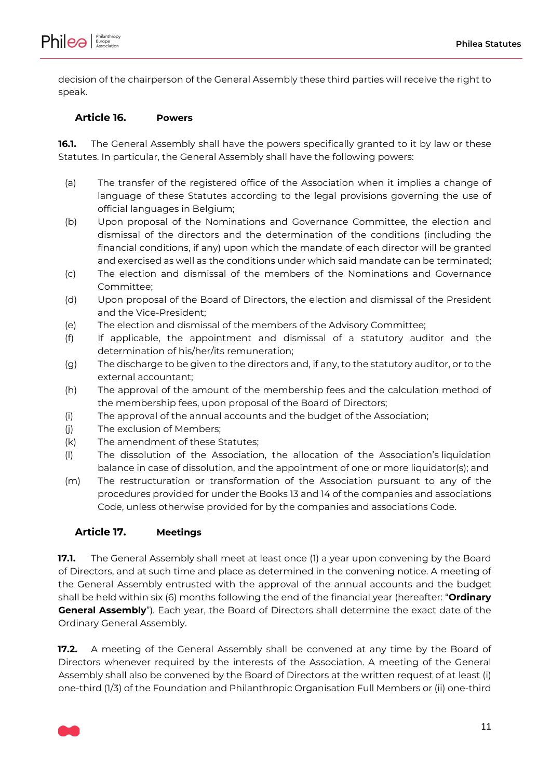

decision of the chairperson of the General Assembly these third parties will receive the right to speak.

#### <span id="page-10-0"></span>**Article 16. Powers**

**16.1.** The General Assembly shall have the powers specifically granted to it by law or these Statutes. In particular, the General Assembly shall have the following powers:

- (a) The transfer of the registered office of the Association when it implies a change of language of these Statutes according to the legal provisions governing the use of official languages in Belgium;
- (b) Upon proposal of the Nominations and Governance Committee, the election and dismissal of the directors and the determination of the conditions (including the financial conditions, if any) upon which the mandate of each director will be granted and exercised as well as the conditions under which said mandate can be terminated;
- (c) The election and dismissal of the members of the Nominations and Governance Committee;
- (d) Upon proposal of the Board of Directors, the election and dismissal of the President and the Vice-President;
- (e) The election and dismissal of the members of the Advisory Committee;
- (f) If applicable, the appointment and dismissal of a statutory auditor and the determination of his/her/its remuneration;
- (g) The discharge to be given to the directors and, if any, to the statutory auditor, or to the external accountant;
- (h) The approval of the amount of the membership fees and the calculation method of the membership fees, upon proposal of the Board of Directors;
- (i) The approval of the annual accounts and the budget of the Association;
- (j) The exclusion of Members;
- (k) The amendment of these Statutes;
- (l) The dissolution of the Association, the allocation of the Association's liquidation balance in case of dissolution, and the appointment of one or more liquidator(s); and
- (m) The restructuration or transformation of the Association pursuant to any of the procedures provided for under the Books 13 and 14 of the companies and associations Code, unless otherwise provided for by the companies and associations Code.

#### <span id="page-10-1"></span>**Article 17. Meetings**

**17.1.** The General Assembly shall meet at least once (1) a year upon convening by the Board of Directors, and at such time and place as determined in the convening notice. A meeting of the General Assembly entrusted with the approval of the annual accounts and the budget shall be held within six (6) months following the end of the financial year (hereafter: "**Ordinary General Assembly**"). Each year, the Board of Directors shall determine the exact date of the Ordinary General Assembly.

**17.2.** A meeting of the General Assembly shall be convened at any time by the Board of Directors whenever required by the interests of the Association. A meeting of the General Assembly shall also be convened by the Board of Directors at the written request of at least (i) one-third (1/3) of the Foundation and Philanthropic Organisation Full Members or (ii) one-third

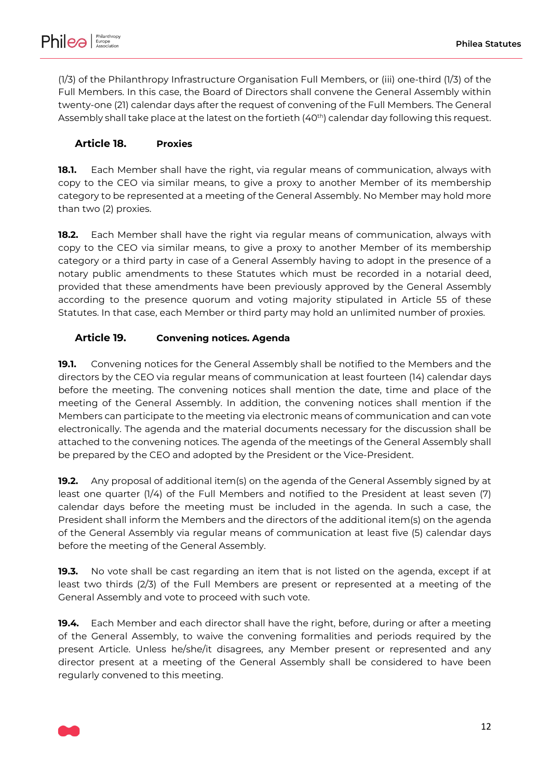(1/3) of the Philanthropy Infrastructure Organisation Full Members, or (iii) one-third (1/3) of the Full Members. In this case, the Board of Directors shall convene the General Assembly within twenty-one (21) calendar days after the request of convening of the Full Members. The General Assembly shall take place at the latest on the fortieth (40<sup>th</sup>) calendar day following this request.

# <span id="page-11-3"></span>**Article 18. Proxies**

**18.1.** Each Member shall have the right, via regular means of communication, always with copy to the CEO via similar means, to give a proxy to another Member of its membership category to be represented at a meeting of the General Assembly. No Member may hold more than two (2) proxies.

**18.2.** Each Member shall have the right via regular means of communication, always with copy to the CEO via similar means, to give a proxy to another Member of its membership category or a third party in case of a General Assembly having to adopt in the presence of a notary public amendments to these Statutes which must be recorded in a notarial deed, provided that these amendments have been previously approved by the General Assembly according to the presence quorum and voting majority stipulated in [Article 55](#page-40-0) of these Statutes. In that case, each Member or third party may hold an unlimited number of proxies.

# <span id="page-11-0"></span>**Article 19. Convening notices. Agenda**

**19.1.** Convening notices for the General Assembly shall be notified to the Members and the directors by the CEO via regular means of communication at least fourteen (14) calendar days before the meeting. The convening notices shall mention the date, time and place of the meeting of the General Assembly. In addition, the convening notices shall mention if the Members can participate to the meeting via electronic means of communication and can vote electronically. The agenda and the material documents necessary for the discussion shall be attached to the convening notices. The agenda of the meetings of the General Assembly shall be prepared by the CEO and adopted by the President or the Vice-President.

<span id="page-11-1"></span>**19.2.** Any proposal of additional item(s) on the agenda of the General Assembly signed by at least one quarter (1/4) of the Full Members and notified to the President at least seven (7) calendar days before the meeting must be included in the agenda. In such a case, the President shall inform the Members and the directors of the additional item(s) on the agenda of the General Assembly via regular means of communication at least five (5) calendar days before the meeting of the General Assembly.

<span id="page-11-2"></span>**19.3.** No vote shall be cast regarding an item that is not listed on the agenda, except if at least two thirds (2/3) of the Full Members are present or represented at a meeting of the General Assembly and vote to proceed with such vote.

**19.4.** Each Member and each director shall have the right, before, during or after a meeting of the General Assembly, to waive the convening formalities and periods required by the present Article. Unless he/she/it disagrees, any Member present or represented and any director present at a meeting of the General Assembly shall be considered to have been regularly convened to this meeting.

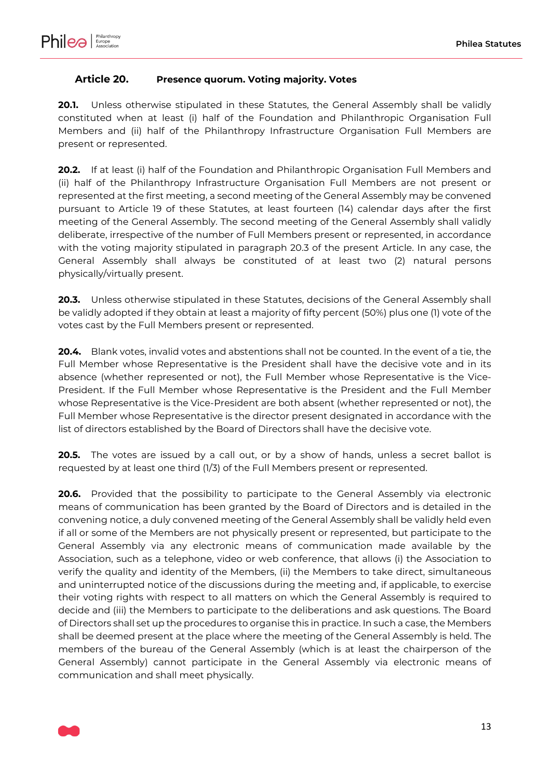# <span id="page-12-0"></span>**Article 20. Presence quorum. Voting majority. Votes**

**20.1.** Unless otherwise stipulated in these Statutes, the General Assembly shall be validly constituted when at least (i) half of the Foundation and Philanthropic Organisation Full Members and (ii) half of the Philanthropy Infrastructure Organisation Full Members are present or represented.

**20.2.** If at least (i) half of the Foundation and Philanthropic Organisation Full Members and (ii) half of the Philanthropy Infrastructure Organisation Full Members are not present or represented at the first meeting, a second meeting of the General Assembly may be convened pursuant to [Article 19](#page-11-0) of these Statutes, at least fourteen (14) calendar days after the first meeting of the General Assembly. The second meeting of the General Assembly shall validly deliberate, irrespective of the number of Full Members present or represented, in accordance with the voting majority stipulated in paragraph [20.3](#page-12-1) of the present Article. In any case, the General Assembly shall always be constituted of at least two (2) natural persons physically/virtually present.

<span id="page-12-1"></span>**20.3.** Unless otherwise stipulated in these Statutes, decisions of the General Assembly shall be validly adopted if they obtain at least a majority of fifty percent (50%) plus one (1) vote of the votes cast by the Full Members present or represented.

**20.4.** Blank votes, invalid votes and abstentions shall not be counted. In the event of a tie, the Full Member whose Representative is the President shall have the decisive vote and in its absence (whether represented or not), the Full Member whose Representative is the Vice-President. If the Full Member whose Representative is the President and the Full Member whose Representative is the Vice-President are both absent (whether represented or not), the Full Member whose Representative is the director present designated in accordance with the list of directors established by the Board of Directors shall have the decisive vote.

**20.5.** The votes are issued by a call out, or by a show of hands, unless a secret ballot is requested by at least one third (1/3) of the Full Members present or represented.

**20.6.** Provided that the possibility to participate to the General Assembly via electronic means of communication has been granted by the Board of Directors and is detailed in the convening notice, a duly convened meeting of the General Assembly shall be validly held even if all or some of the Members are not physically present or represented, but participate to the General Assembly via any electronic means of communication made available by the Association, such as a telephone, video or web conference, that allows (i) the Association to verify the quality and identity of the Members, (ii) the Members to take direct, simultaneous and uninterrupted notice of the discussions during the meeting and, if applicable, to exercise their voting rights with respect to all matters on which the General Assembly is required to decide and (iii) the Members to participate to the deliberations and ask questions. The Board of Directors shall set up the procedures to organise this in practice. In such a case, the Members shall be deemed present at the place where the meeting of the General Assembly is held. The members of the bureau of the General Assembly (which is at least the chairperson of the General Assembly) cannot participate in the General Assembly via electronic means of communication and shall meet physically.

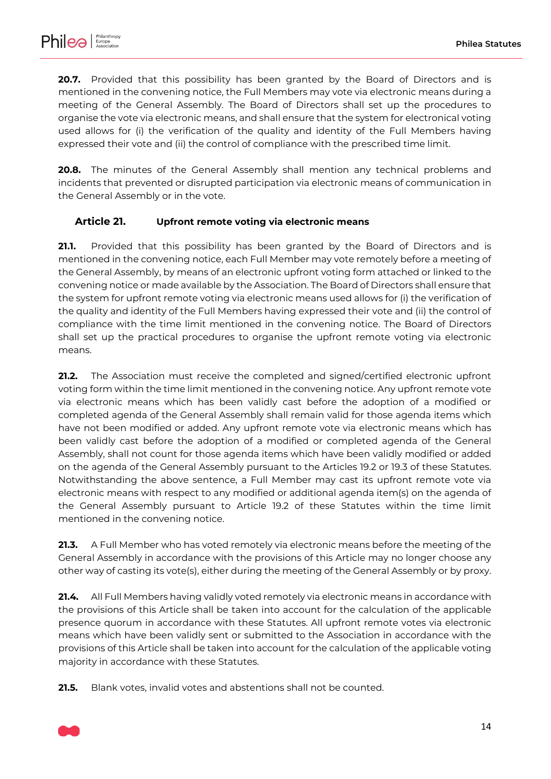

**20.7.** Provided that this possibility has been granted by the Board of Directors and is mentioned in the convening notice, the Full Members may vote via electronic means during a meeting of the General Assembly. The Board of Directors shall set up the procedures to organise the vote via electronic means, and shall ensure that the system for electronical voting used allows for (i) the verification of the quality and identity of the Full Members having expressed their vote and (ii) the control of compliance with the prescribed time limit.

**20.8.** The minutes of the General Assembly shall mention any technical problems and incidents that prevented or disrupted participation via electronic means of communication in the General Assembly or in the vote.

### <span id="page-13-0"></span>**Article 21. Upfront remote voting via electronic means**

**21.1.** Provided that this possibility has been granted by the Board of Directors and is mentioned in the convening notice, each Full Member may vote remotely before a meeting of the General Assembly, by means of an electronic upfront voting form attached or linked to the convening notice or made available by the Association. The Board of Directors shall ensure that the system for upfront remote voting via electronic means used allows for (i) the verification of the quality and identity of the Full Members having expressed their vote and (ii) the control of compliance with the time limit mentioned in the convening notice. The Board of Directors shall set up the practical procedures to organise the upfront remote voting via electronic means.

**21.2.** The Association must receive the completed and signed/certified electronic upfront voting form within the time limit mentioned in the convening notice. Any upfront remote vote via electronic means which has been validly cast before the adoption of a modified or completed agenda of the General Assembly shall remain valid for those agenda items which have not been modified or added. Any upfront remote vote via electronic means which has been validly cast before the adoption of a modified or completed agenda of the General Assembly, shall not count for those agenda items which have been validly modified or added on the agenda of the General Assembly pursuant to the Articles [19.2](#page-11-1) or [19.3](#page-11-2) of these Statutes. Notwithstanding the above sentence, a Full Member may cast its upfront remote vote via electronic means with respect to any modified or additional agenda item(s) on the agenda of the General Assembly pursuant to Article [19.2](#page-11-1) of these Statutes within the time limit mentioned in the convening notice.

**21.3.** A Full Member who has voted remotely via electronic means before the meeting of the General Assembly in accordance with the provisions of this Article may no longer choose any other way of casting its vote(s), either during the meeting of the General Assembly or by proxy.

**21.4.** All Full Members having validly voted remotely via electronic means in accordance with the provisions of this Article shall be taken into account for the calculation of the applicable presence quorum in accordance with these Statutes. All upfront remote votes via electronic means which have been validly sent or submitted to the Association in accordance with the provisions of this Article shall be taken into account for the calculation of the applicable voting majority in accordance with these Statutes.

**21.5.** Blank votes, invalid votes and abstentions shall not be counted.

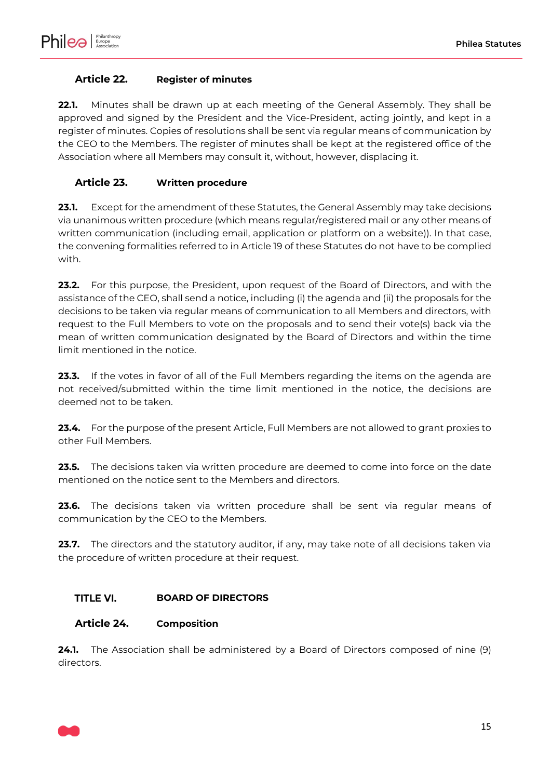# <span id="page-14-1"></span>**Article 22. Register of minutes**

**22.1.** Minutes shall be drawn up at each meeting of the General Assembly. They shall be approved and signed by the President and the Vice-President, acting jointly, and kept in a register of minutes. Copies of resolutions shall be sent via regular means of communication by the CEO to the Members. The register of minutes shall be kept at the registered office of the Association where all Members may consult it, without, however, displacing it.

# <span id="page-14-2"></span>**Article 23. Written procedure**

**23.1.** Except for the amendment of these Statutes, the General Assembly may take decisions via unanimous written procedure (which means regular/registered mail or any other means of written communication (including email, application or platform on a website)). In that case, the convening formalities referred to in [Article 19](#page-11-0) of these Statutes do not have to be complied with.

**23.2.** For this purpose, the President, upon request of the Board of Directors, and with the assistance of the CEO, shall send a notice, including (i) the agenda and (ii) the proposals for the decisions to be taken via regular means of communication to all Members and directors, with request to the Full Members to vote on the proposals and to send their vote(s) back via the mean of written communication designated by the Board of Directors and within the time limit mentioned in the notice.

**23.3.** If the votes in favor of all of the Full Members regarding the items on the agenda are not received/submitted within the time limit mentioned in the notice, the decisions are deemed not to be taken.

**23.4.** For the purpose of the present Article, Full Members are not allowed to grant proxies to other Full Members.

**23.5.** The decisions taken via written procedure are deemed to come into force on the date mentioned on the notice sent to the Members and directors.

**23.6.** The decisions taken via written procedure shall be sent via regular means of communication by the CEO to the Members.

**23.7.** The directors and the statutory auditor, if any, may take note of all decisions taken via the procedure of written procedure at their request.

#### <span id="page-14-3"></span>**TITLE VI. BOARD OF DIRECTORS**

### <span id="page-14-0"></span>**Article 24. Composition**

**24.1.** The Association shall be administered by a Board of Directors composed of nine (9) directors.

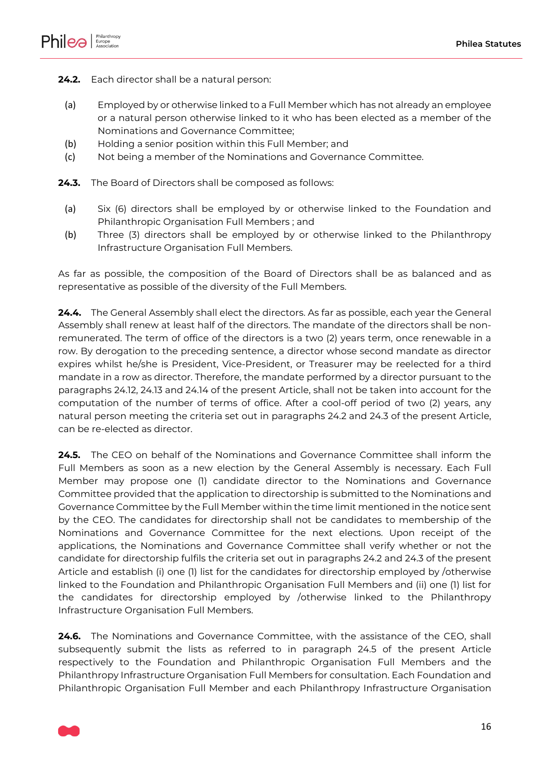

<span id="page-15-4"></span>**24.2.** Each director shall be a natural person:

- <span id="page-15-0"></span>(a) Employed by or otherwise linked to a Full Member which has not already an employee or a natural person otherwise linked to it who has been elected as a member of the Nominations and Governance Committee;
- (b) Holding a senior position within this Full Member; and
- (c) Not being a member of the Nominations and Governance Committee.
- <span id="page-15-1"></span>**24.3.** The Board of Directors shall be composed as follows:
	- (a) Six (6) directors shall be employed by or otherwise linked to the Foundation and Philanthropic Organisation Full Members ; and
	- (b) Three (3) directors shall be employed by or otherwise linked to the Philanthropy Infrastructure Organisation Full Members.

As far as possible, the composition of the Board of Directors shall be as balanced and as representative as possible of the diversity of the Full Members.

**24.4.** The General Assembly shall elect the directors. As far as possible, each year the General Assembly shall renew at least half of the directors. The mandate of the directors shall be nonremunerated. The term of office of the directors is a two (2) years term, once renewable in a row. By derogation to the preceding sentence, a director whose second mandate as director expires whilst he/she is President, Vice-President, or Treasurer may be reelected for a third mandate in a row as director. Therefore, the mandate performed by a director pursuant to the paragraphs [24.12,](#page-17-0) [24.13](#page-17-1) and [24.14](#page-17-2) of the present Article, shall not be taken into account for the computation of the number of terms of office. After a cool-off period of two (2) years, any natural person meeting the criteria set out in paragraphs [24.2](#page-15-0) and [24.3](#page-15-1) of the present Article, can be re-elected as director.

<span id="page-15-2"></span>**24.5.** The CEO on behalf of the Nominations and Governance Committee shall inform the Full Members as soon as a new election by the General Assembly is necessary. Each Full Member may propose one (1) candidate director to the Nominations and Governance Committee provided that the application to directorship is submitted to the Nominations and Governance Committee by the Full Member within the time limit mentioned in the notice sent by the CEO. The candidates for directorship shall not be candidates to membership of the Nominations and Governance Committee for the next elections. Upon receipt of the applications, the Nominations and Governance Committee shall verify whether or not the candidate for directorship fulfils the criteria set out in paragraphs [24.2](#page-15-0) an[d 24.3](#page-15-1) of the present Article and establish (i) one (1) list for the candidates for directorship employed by /otherwise linked to the Foundation and Philanthropic Organisation Full Members and (ii) one (1) list for the candidates for directorship employed by /otherwise linked to the Philanthropy Infrastructure Organisation Full Members.

<span id="page-15-3"></span>**24.6.** The Nominations and Governance Committee, with the assistance of the CEO, shall subsequently submit the lists as referred to in paragraph [24.5](#page-15-2) of the present Article respectively to the Foundation and Philanthropic Organisation Full Members and the Philanthropy Infrastructure Organisation Full Members for consultation. Each Foundation and Philanthropic Organisation Full Member and each Philanthropy Infrastructure Organisation

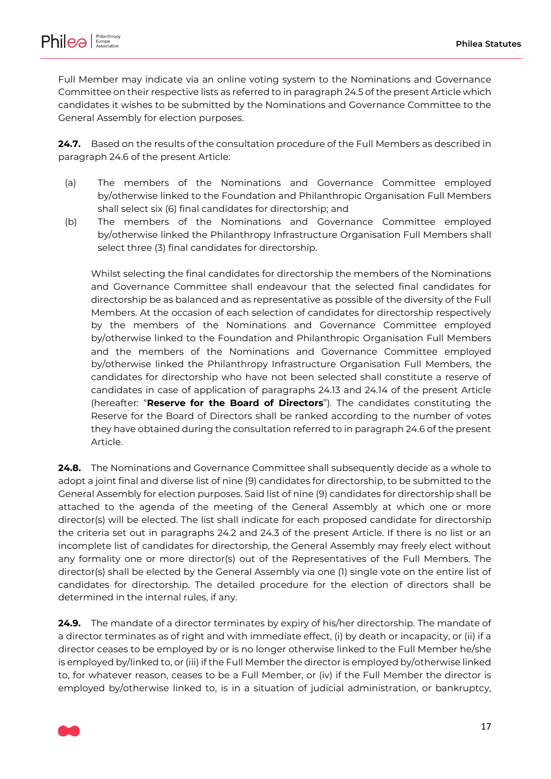

Full Member may indicate via an online voting system to the Nominations and Governance Committee on their respective lists as referred to in paragrap[h 24.5](#page-15-2) of the present Article which candidates it wishes to be submitted by the Nominations and Governance Committee to the General Assembly for election purposes.

**24.7.** Based on the results of the consultation procedure of the Full Members as described in paragraph [24.6](#page-15-3) of the present Article:

- (a) The members of the Nominations and Governance Committee employed by/otherwise linked to the Foundation and Philanthropic Organisation Full Members shall select six (6) final candidates for directorship; and
- (b) The members of the Nominations and Governance Committee employed by/otherwise linked the Philanthropy Infrastructure Organisation Full Members shall select three (3) final candidates for directorship.

Whilst selecting the final candidates for directorship the members of the Nominations and Governance Committee shall endeavour that the selected final candidates for directorship be as balanced and as representative as possible of the diversity of the Full Members. At the occasion of each selection of candidates for directorship respectively by the members of the Nominations and Governance Committee employed by/otherwise linked to the Foundation and Philanthropic Organisation Full Members and the members of the Nominations and Governance Committee employed by/otherwise linked the Philanthropy Infrastructure Organisation Full Members, the candidates for directorship who have not been selected shall constitute a reserve of candidates in case of application of paragraphs [24.13](#page-17-1) and [24.14](#page-17-2) of the present Article (hereafter: "**Reserve for the Board of Directors**"). The candidates constituting the Reserve for the Board of Directors shall be ranked according to the number of votes they have obtained during the consultation referred to in paragrap[h 24.6](#page-15-3) of the present Article.

**24.8.** The Nominations and Governance Committee shall subsequently decide as a whole to adopt a joint final and diverse list of nine (9) candidates for directorship, to be submitted to the General Assembly for election purposes. Said list of nine (9) candidates for directorship shall be attached to the agenda of the meeting of the General Assembly at which one or more director(s) will be elected. The list shall indicate for each proposed candidate for directorship the criteria set out in paragraphs [24.2](#page-15-0) and [24.3](#page-15-1) of the present Article. If there is no list or an incomplete list of candidates for directorship, the General Assembly may freely elect without any formality one or more director(s) out of the Representatives of the Full Members. The director(s) shall be elected by the General Assembly via one (1) single vote on the entire list of candidates for directorship. The detailed procedure for the election of directors shall be determined in the internal rules, if any.

**24.9.** The mandate of a director terminates by expiry of his/her directorship. The mandate of a director terminates as of right and with immediate effect, (i) by death or incapacity, or (ii) if a director ceases to be employed by or is no longer otherwise linked to the Full Member he/she is employed by/linked to, or (iii) if the Full Member the director is employed by/otherwise linked to, for whatever reason, ceases to be a Full Member, or (iv) if the Full Member the director is employed by/otherwise linked to, is in a situation of judicial administration, or bankruptcy,

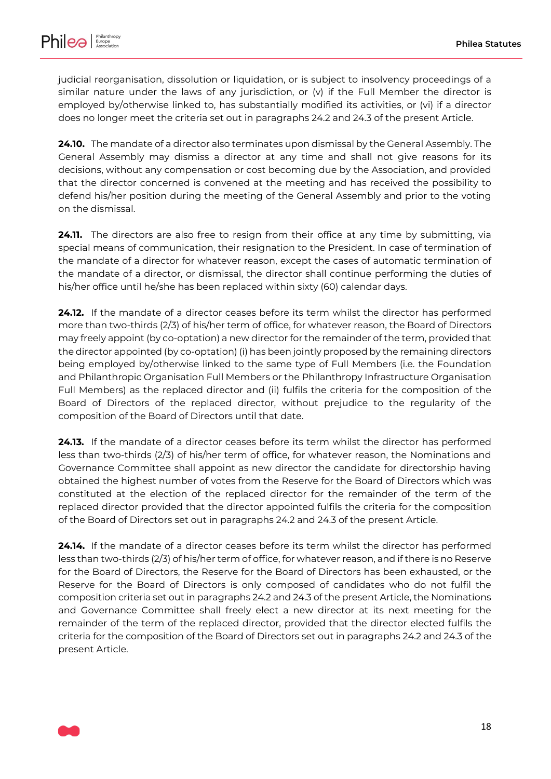

judicial reorganisation, dissolution or liquidation, or is subject to insolvency proceedings of a similar nature under the laws of any jurisdiction, or  $(v)$  if the Full Member the director is employed by/otherwise linked to, has substantially modified its activities, or (vi) if a director does no longer meet the criteria set out in paragraphs [24.2](#page-15-0) an[d 24.3](#page-15-1) of the present Article.

**24.10.** The mandate of a director also terminates upon dismissal by the General Assembly. The General Assembly may dismiss a director at any time and shall not give reasons for its decisions, without any compensation or cost becoming due by the Association, and provided that the director concerned is convened at the meeting and has received the possibility to defend his/her position during the meeting of the General Assembly and prior to the voting on the dismissal.

**24.11.** The directors are also free to resign from their office at any time by submitting, via special means of communication, their resignation to the President. In case of termination of the mandate of a director for whatever reason, except the cases of automatic termination of the mandate of a director, or dismissal, the director shall continue performing the duties of his/her office until he/she has been replaced within sixty (60) calendar days.

<span id="page-17-0"></span>**24.12.** If the mandate of a director ceases before its term whilst the director has performed more than two-thirds (2/3) of his/her term of office, for whatever reason, the Board of Directors may freely appoint (by co-optation) a new director for the remainder of the term, provided that the director appointed (by co-optation) (i) has been jointly proposed by the remaining directors being employed by/otherwise linked to the same type of Full Members (i.e. the Foundation and Philanthropic Organisation Full Members or the Philanthropy Infrastructure Organisation Full Members) as the replaced director and (ii) fulfils the criteria for the composition of the Board of Directors of the replaced director, without prejudice to the regularity of the composition of the Board of Directors until that date.

<span id="page-17-1"></span>**24.13.** If the mandate of a director ceases before its term whilst the director has performed less than two-thirds (2/3) of his/her term of office, for whatever reason, the Nominations and Governance Committee shall appoint as new director the candidate for directorship having obtained the highest number of votes from the Reserve for the Board of Directors which was constituted at the election of the replaced director for the remainder of the term of the replaced director provided that the director appointed fulfils the criteria for the composition of the Board of Directors set out in paragraphs [24.2](#page-15-4) and [24.3](#page-15-1) of the present Article.

<span id="page-17-2"></span>**24.14.** If the mandate of a director ceases before its term whilst the director has performed less than two-thirds (2/3) of his/her term of office, for whatever reason, and if there is no Reserve for the Board of Directors, the Reserve for the Board of Directors has been exhausted, or the Reserve for the Board of Directors is only composed of candidates who do not fulfil the composition criteria set out in paragraphs [24.2](#page-15-4) an[d 24.3](#page-15-1) of the present Article, the Nominations and Governance Committee shall freely elect a new director at its next meeting for the remainder of the term of the replaced director, provided that the director elected fulfils the criteria for the composition of the Board of Directors set out in paragraphs [24.2](#page-15-4) an[d 24.3](#page-15-1) of the present Article.

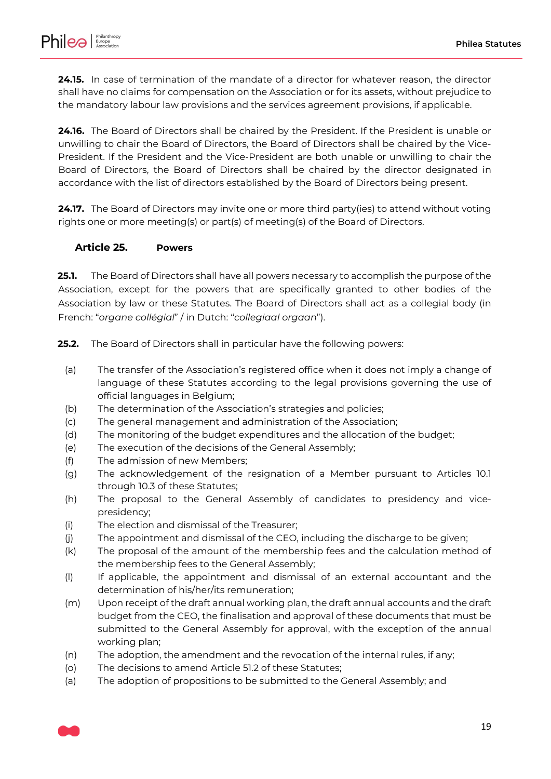

**24.15.** In case of termination of the mandate of a director for whatever reason, the director shall have no claims for compensation on the Association or for its assets, without prejudice to the mandatory labour law provisions and the services agreement provisions, if applicable.

**24.16.** The Board of Directors shall be chaired by the President. If the President is unable or unwilling to chair the Board of Directors, the Board of Directors shall be chaired by the Vice-President. If the President and the Vice-President are both unable or unwilling to chair the Board of Directors, the Board of Directors shall be chaired by the director designated in accordance with the list of directors established by the Board of Directors being present.

**24.17.** The Board of Directors may invite one or more third party(ies) to attend without voting rights one or more meeting(s) or part(s) of meeting(s) of the Board of Directors.

#### <span id="page-18-0"></span>**Article 25. Powers**

**25.1.** The Board of Directors shall have all powers necessary to accomplish the purpose of the Association, except for the powers that are specifically granted to other bodies of the Association by law or these Statutes. The Board of Directors shall act as a collegial body (in French: "*organe collégial*" / in Dutch: "*collegiaal orgaan*").

**25.2.** The Board of Directors shall in particular have the following powers:

- (a) The transfer of the Association's registered office when it does not imply a change of language of these Statutes according to the legal provisions governing the use of official languages in Belgium;
- (b) The determination of the Association's strategies and policies;
- (c) The general management and administration of the Association;
- (d) The monitoring of the budget expenditures and the allocation of the budget;
- (e) The execution of the decisions of the General Assembly;
- (f) The admission of new Members;
- (g) The acknowledgement of the resignation of a Member pursuant to Articles [10.1](#page-6-4) throug[h 10.3](#page-6-1) of these Statutes;
- (h) The proposal to the General Assembly of candidates to presidency and vicepresidency;
- (i) The election and dismissal of the Treasurer;
- (j) The appointment and dismissal of the CEO, including the discharge to be given;
- (k) The proposal of the amount of the membership fees and the calculation method of the membership fees to the General Assembly;
- (l) If applicable, the appointment and dismissal of an external accountant and the determination of his/her/its remuneration;
- (m) Upon receipt of the draft annual working plan, the draft annual accounts and the draft budget from the CEO, the finalisation and approval of these documents that must be submitted to the General Assembly for approval, with the exception of the annual working plan;
- (n) The adoption, the amendment and the revocation of the internal rules, if any;
- (o) The decisions to amend Article [51.2](#page-39-0) of these Statutes;
- (a) The adoption of propositions to be submitted to the General Assembly; and

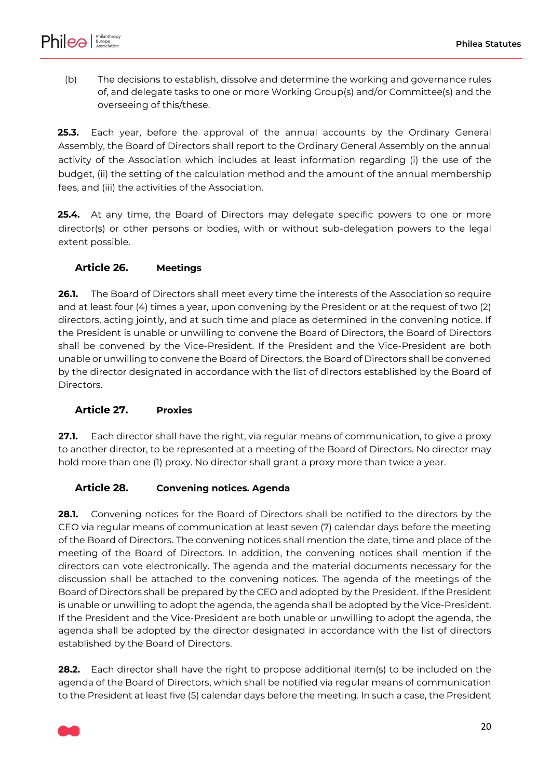

(b) The decisions to establish, dissolve and determine the working and governance rules of, and delegate tasks to one or more Working Group(s) and/or Committee(s) and the overseeing of this/these.

**25.3.** Each year, before the approval of the annual accounts by the Ordinary General Assembly, the Board of Directors shall report to the Ordinary General Assembly on the annual activity of the Association which includes at least information regarding (i) the use of the budget, (ii) the setting of the calculation method and the amount of the annual membership fees, and (iii) the activities of the Association.

**25.4.** At any time, the Board of Directors may delegate specific powers to one or more director(s) or other persons or bodies, with or without sub-delegation powers to the legal extent possible.

### <span id="page-19-1"></span>**Article 26. Meetings**

**26.1.** The Board of Directors shall meet every time the interests of the Association so require and at least four (4) times a year, upon convening by the President or at the request of two (2) directors, acting jointly, and at such time and place as determined in the convening notice. If the President is unable or unwilling to convene the Board of Directors, the Board of Directors shall be convened by the Vice-President. If the President and the Vice-President are both unable or unwilling to convene the Board of Directors, the Board of Directors shall be convened by the director designated in accordance with the list of directors established by the Board of Directors.

#### <span id="page-19-2"></span>**Article 27. Proxies**

**27.1.** Each director shall have the right, via regular means of communication, to give a proxy to another director, to be represented at a meeting of the Board of Directors. No director may hold more than one (1) proxy. No director shall grant a proxy more than twice a year.

### <span id="page-19-0"></span>**Article 28. Convening notices. Agenda**

**28.1.** Convening notices for the Board of Directors shall be notified to the directors by the CEO via regular means of communication at least seven (7) calendar days before the meeting of the Board of Directors. The convening notices shall mention the date, time and place of the meeting of the Board of Directors. In addition, the convening notices shall mention if the directors can vote electronically. The agenda and the material documents necessary for the discussion shall be attached to the convening notices. The agenda of the meetings of the Board of Directors shall be prepared by the CEO and adopted by the President. If the President is unable or unwilling to adopt the agenda, the agenda shall be adopted by the Vice-President. If the President and the Vice-President are both unable or unwilling to adopt the agenda, the agenda shall be adopted by the director designated in accordance with the list of directors established by the Board of Directors.

**28.2.** Each director shall have the right to propose additional item(s) to be included on the agenda of the Board of Directors, which shall be notified via regular means of communication to the President at least five (5) calendar days before the meeting. In such a case, the President

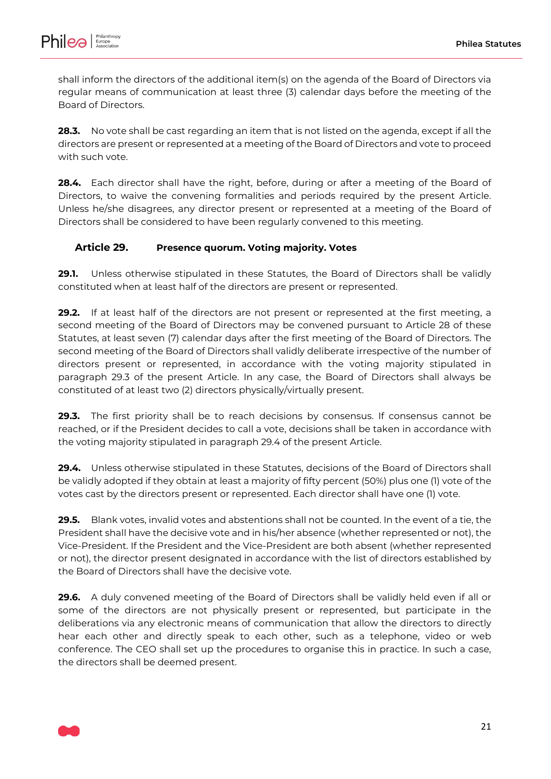

shall inform the directors of the additional item(s) on the agenda of the Board of Directors via regular means of communication at least three (3) calendar days before the meeting of the Board of Directors.

**28.3.** No vote shall be cast regarding an item that is not listed on the agenda, except if all the directors are present or represented at a meeting of the Board of Directors and vote to proceed with such vote.

**28.4.** Each director shall have the right, before, during or after a meeting of the Board of Directors, to waive the convening formalities and periods required by the present Article. Unless he/she disagrees, any director present or represented at a meeting of the Board of Directors shall be considered to have been regularly convened to this meeting.

# <span id="page-20-2"></span>**Article 29. Presence quorum. Voting majority. Votes**

**29.1.** Unless otherwise stipulated in these Statutes, the Board of Directors shall be validly constituted when at least half of the directors are present or represented.

**29.2.** If at least half of the directors are not present or represented at the first meeting, a second meeting of the Board of Directors may be convened pursuant to [Article 28](#page-19-0) of these Statutes, at least seven (7) calendar days after the first meeting of the Board of Directors. The second meeting of the Board of Directors shall validly deliberate irrespective of the number of directors present or represented, in accordance with the voting majority stipulated in paragraph [29.3](#page-20-0) of the present Article. In any case, the Board of Directors shall always be constituted of at least two (2) directors physically/virtually present.

<span id="page-20-0"></span>**29.3.** The first priority shall be to reach decisions by consensus. If consensus cannot be reached, or if the President decides to call a vote, decisions shall be taken in accordance with the voting majority stipulated in paragraph [29.4](#page-20-1) of the present Article.

<span id="page-20-1"></span>**29.4.** Unless otherwise stipulated in these Statutes, decisions of the Board of Directors shall be validly adopted if they obtain at least a majority of fifty percent (50%) plus one (1) vote of the votes cast by the directors present or represented. Each director shall have one (1) vote.

**29.5.** Blank votes, invalid votes and abstentions shall not be counted. In the event of a tie, the President shall have the decisive vote and in his/her absence (whether represented or not), the Vice-President. If the President and the Vice-President are both absent (whether represented or not), the director present designated in accordance with the list of directors established by the Board of Directors shall have the decisive vote.

**29.6.** A duly convened meeting of the Board of Directors shall be validly held even if all or some of the directors are not physically present or represented, but participate in the deliberations via any electronic means of communication that allow the directors to directly hear each other and directly speak to each other, such as a telephone, video or web conference. The CEO shall set up the procedures to organise this in practice. In such a case, the directors shall be deemed present.

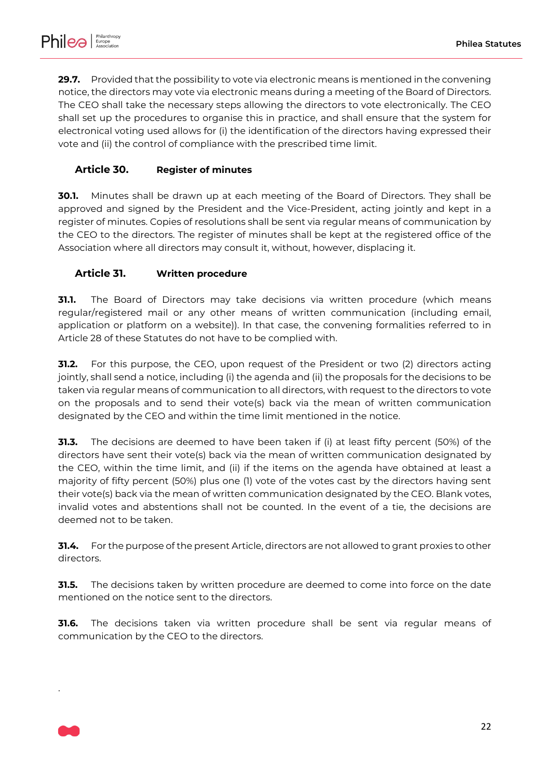**29.7.** Provided that the possibility to vote via electronic means is mentioned in the convening notice, the directors may vote via electronic means during a meeting of the Board of Directors. The CEO shall take the necessary steps allowing the directors to vote electronically. The CEO shall set up the procedures to organise this in practice, and shall ensure that the system for electronical voting used allows for (i) the identification of the directors having expressed their vote and (ii) the control of compliance with the prescribed time limit.

# <span id="page-21-0"></span>**Article 30. Register of minutes**

**30.1.** Minutes shall be drawn up at each meeting of the Board of Directors. They shall be approved and signed by the President and the Vice-President, acting jointly and kept in a register of minutes. Copies of resolutions shall be sent via regular means of communication by the CEO to the directors. The register of minutes shall be kept at the registered office of the Association where all directors may consult it, without, however, displacing it.

### <span id="page-21-1"></span>**Article 31. Written procedure**

**31.1.** The Board of Directors may take decisions via written procedure (which means regular/registered mail or any other means of written communication (including email, application or platform on a website)). In that case, the convening formalities referred to in [Article 28](#page-19-0) of these Statutes do not have to be complied with.

**31.2.** For this purpose, the CEO, upon request of the President or two (2) directors acting jointly, shall send a notice, including (i) the agenda and (ii) the proposals for the decisions to be taken via regular means of communication to all directors, with request to the directors to vote on the proposals and to send their vote(s) back via the mean of written communication designated by the CEO and within the time limit mentioned in the notice.

**31.3.** The decisions are deemed to have been taken if (i) at least fifty percent (50%) of the directors have sent their vote(s) back via the mean of written communication designated by the CEO, within the time limit, and (ii) if the items on the agenda have obtained at least a majority of fifty percent (50%) plus one (1) vote of the votes cast by the directors having sent their vote(s) back via the mean of written communication designated by the CEO. Blank votes, invalid votes and abstentions shall not be counted. In the event of a tie, the decisions are deemed not to be taken.

**31.4.** For the purpose of the present Article, directors are not allowed to grant proxies to other directors.

**31.5.** The decisions taken by written procedure are deemed to come into force on the date mentioned on the notice sent to the directors.

**31.6.** The decisions taken via written procedure shall be sent via regular means of communication by the CEO to the directors.



.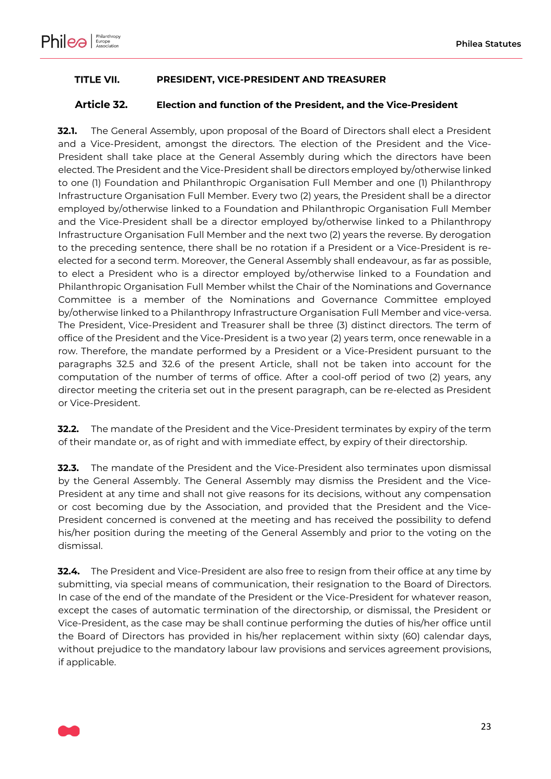

#### <span id="page-22-1"></span>**TITLE VII. PRESIDENT, VICE-PRESIDENT AND TREASURER**

#### <span id="page-22-0"></span>**Article 32. Election and function of the President, and the Vice-President**

**32.1.** The General Assembly, upon proposal of the Board of Directors shall elect a President and a Vice-President, amongst the directors. The election of the President and the Vice-President shall take place at the General Assembly during which the directors have been elected. The President and the Vice-President shall be directors employed by/otherwise linked to one (1) Foundation and Philanthropic Organisation Full Member and one (1) Philanthropy Infrastructure Organisation Full Member. Every two (2) years, the President shall be a director employed by/otherwise linked to a Foundation and Philanthropic Organisation Full Member and the Vice-President shall be a director employed by/otherwise linked to a Philanthropy Infrastructure Organisation Full Member and the next two (2) years the reverse. By derogation to the preceding sentence, there shall be no rotation if a President or a Vice-President is reelected for a second term. Moreover, the General Assembly shall endeavour, as far as possible, to elect a President who is a director employed by/otherwise linked to a Foundation and Philanthropic Organisation Full Member whilst the Chair of the Nominations and Governance Committee is a member of the Nominations and Governance Committee employed by/otherwise linked to a Philanthropy Infrastructure Organisation Full Member and vice-versa. The President, Vice-President and Treasurer shall be three (3) distinct directors. The term of office of the President and the Vice-President is a two year (2) years term, once renewable in a row. Therefore, the mandate performed by a President or a Vice-President pursuant to the paragraphs [32.5](#page-23-0) and [32.6](#page-23-1) of the present Article, shall not be taken into account for the computation of the number of terms of office. After a cool-off period of two (2) years, any director meeting the criteria set out in the present paragraph, can be re-elected as President or Vice-President.

**32.2.** The mandate of the President and the Vice-President terminates by expiry of the term of their mandate or, as of right and with immediate effect, by expiry of their directorship.

**32.3.** The mandate of the President and the Vice-President also terminates upon dismissal by the General Assembly. The General Assembly may dismiss the President and the Vice-President at any time and shall not give reasons for its decisions, without any compensation or cost becoming due by the Association, and provided that the President and the Vice-President concerned is convened at the meeting and has received the possibility to defend his/her position during the meeting of the General Assembly and prior to the voting on the dismissal.

**32.4.** The President and Vice-President are also free to resign from their office at any time by submitting, via special means of communication, their resignation to the Board of Directors. In case of the end of the mandate of the President or the Vice-President for whatever reason, except the cases of automatic termination of the directorship, or dismissal, the President or Vice-President, as the case may be shall continue performing the duties of his/her office until the Board of Directors has provided in his/her replacement within sixty (60) calendar days, without prejudice to the mandatory labour law provisions and services agreement provisions, if applicable.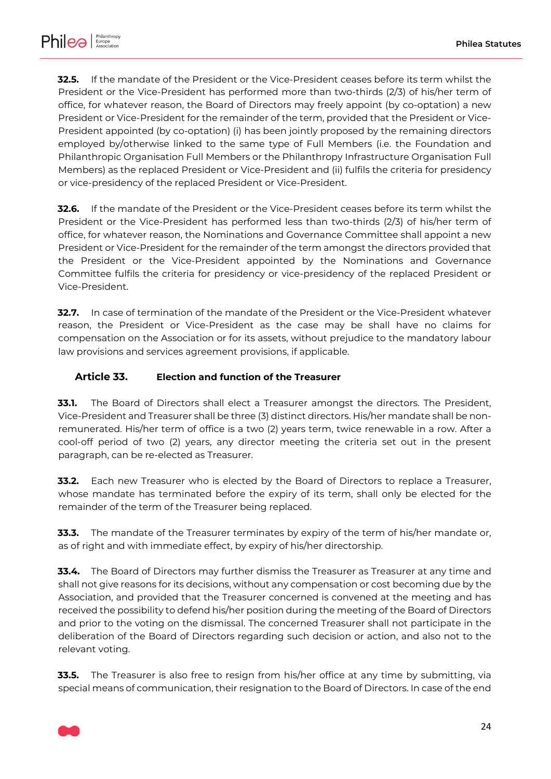

<span id="page-23-0"></span>**32.5.** If the mandate of the President or the Vice-President ceases before its term whilst the President or the Vice-President has performed more than two-thirds (2/3) of his/her term of office, for whatever reason, the Board of Directors may freely appoint (by co-optation) a new President or Vice-President for the remainder of the term, provided that the President or Vice-President appointed (by co-optation) (i) has been jointly proposed by the remaining directors employed by/otherwise linked to the same type of Full Members (i.e. the Foundation and Philanthropic Organisation Full Members or the Philanthropy Infrastructure Organisation Full Members) as the replaced President or Vice-President and (ii) fulfils the criteria for presidency or vice-presidency of the replaced President or Vice-President.

<span id="page-23-1"></span>**32.6.** If the mandate of the President or the Vice-President ceases before its term whilst the President or the Vice-President has performed less than two-thirds (2/3) of his/her term of office, for whatever reason, the Nominations and Governance Committee shall appoint a new President or Vice-President for the remainder of the term amongst the directors provided that the President or the Vice-President appointed by the Nominations and Governance Committee fulfils the criteria for presidency or vice-presidency of the replaced President or Vice-President.

**32.7.** In case of termination of the mandate of the President or the Vice-President whatever reason, the President or Vice-President as the case may be shall have no claims for compensation on the Association or for its assets, without prejudice to the mandatory labour law provisions and services agreement provisions, if applicable.

#### <span id="page-23-2"></span>**Article 33. Election and function of the Treasurer**

**33.1.** The Board of Directors shall elect a Treasurer amongst the directors. The President, Vice-President and Treasurer shall be three (3) distinct directors. His/her mandate shall be nonremunerated. His/her term of office is a two (2) years term, twice renewable in a row. After a cool-off period of two (2) years, any director meeting the criteria set out in the present paragraph, can be re-elected as Treasurer.

**33.2.** Each new Treasurer who is elected by the Board of Directors to replace a Treasurer, whose mandate has terminated before the expiry of its term, shall only be elected for the remainder of the term of the Treasurer being replaced.

**33.3.** The mandate of the Treasurer terminates by expiry of the term of his/her mandate or, as of right and with immediate effect, by expiry of his/her directorship.

**33.4.** The Board of Directors may further dismiss the Treasurer as Treasurer at any time and shall not give reasons for its decisions, without any compensation or cost becoming due by the Association, and provided that the Treasurer concerned is convened at the meeting and has received the possibility to defend his/her position during the meeting of the Board of Directors and prior to the voting on the dismissal. The concerned Treasurer shall not participate in the deliberation of the Board of Directors regarding such decision or action, and also not to the relevant voting.

**33.5.** The Treasurer is also free to resign from his/her office at any time by submitting, via special means of communication, their resignation to the Board of Directors. In case of the end

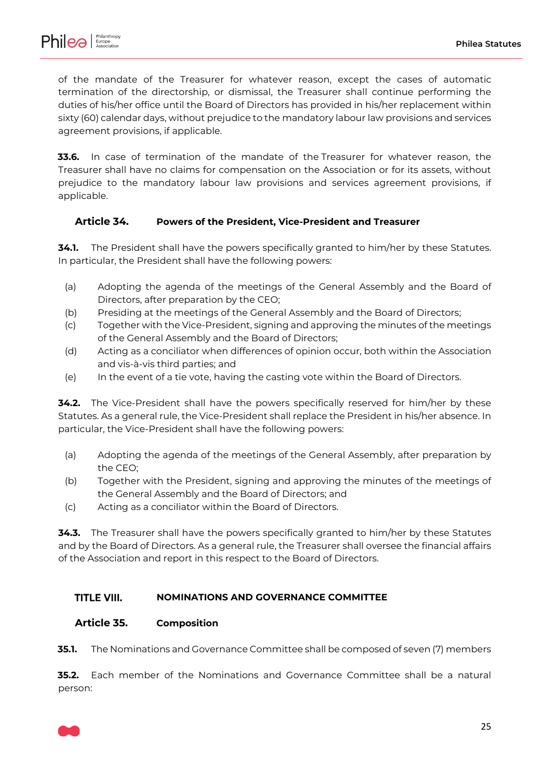

of the mandate of the Treasurer for whatever reason, except the cases of automatic termination of the directorship, or dismissal, the Treasurer shall continue performing the duties of his/her office until the Board of Directors has provided in his/her replacement within sixty (60) calendar days, without prejudice to the mandatory labour law provisions and services agreement provisions, if applicable.

**33.6.** In case of termination of the mandate of the Treasurer for whatever reason, the Treasurer shall have no claims for compensation on the Association or for its assets, without prejudice to the mandatory labour law provisions and services agreement provisions, if applicable.

### <span id="page-24-2"></span>**Article 34. Powers of the President, Vice-President and Treasurer**

**34.1.** The President shall have the powers specifically granted to him/her by these Statutes. In particular, the President shall have the following powers:

- (a) Adopting the agenda of the meetings of the General Assembly and the Board of Directors, after preparation by the CEO;
- (b) Presiding at the meetings of the General Assembly and the Board of Directors;
- (c) Together with the Vice-President, signing and approving the minutes of the meetings of the General Assembly and the Board of Directors;
- (d) Acting as a conciliator when differences of opinion occur, both within the Association and vis-à-vis third parties; and
- (e) In the event of a tie vote, having the casting vote within the Board of Directors.

**34.2.** The Vice-President shall have the powers specifically reserved for him/her by these Statutes. As a general rule, the Vice-President shall replace the President in his/her absence. In particular, the Vice-President shall have the following powers:

- (a) Adopting the agenda of the meetings of the General Assembly, after preparation by the CEO;
- (b) Together with the President, signing and approving the minutes of the meetings of the General Assembly and the Board of Directors; and
- (c) Acting as a conciliator within the Board of Directors.

**34.3.** The Treasurer shall have the powers specifically granted to him/her by these Statutes and by the Board of Directors. As a general rule, the Treasurer shall oversee the financial affairs of the Association and report in this respect to the Board of Directors.

#### <span id="page-24-3"></span>**TITLE VIII. NOMINATIONS AND GOVERNANCE COMMITTEE**

### <span id="page-24-1"></span>**Article 35. Composition**

**35.1.** The Nominations and Governance Committee shall be composed of seven (7) members

<span id="page-24-0"></span>**35.2.** Each member of the Nominations and Governance Committee shall be a natural person:

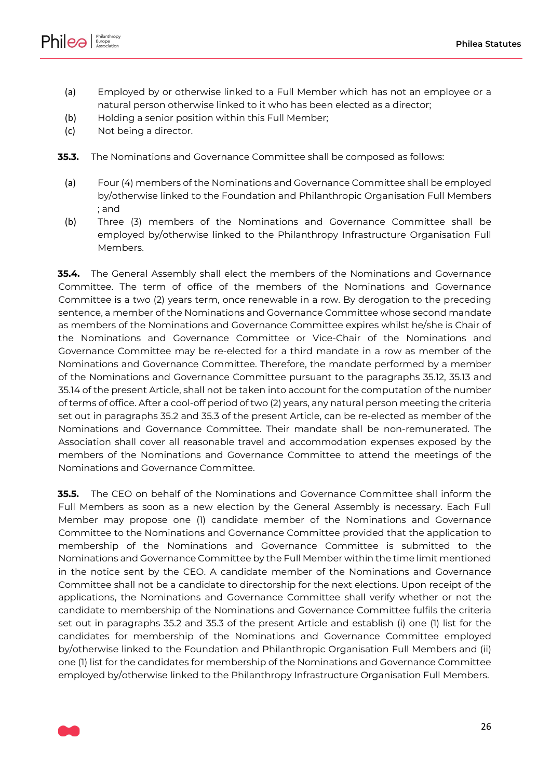



- (a) Employed by or otherwise linked to a Full Member which has not an employee or a natural person otherwise linked to it who has been elected as a director;
- (b) Holding a senior position within this Full Member;
- (c) Not being a director.
- <span id="page-25-0"></span>**35.3.** The Nominations and Governance Committee shall be composed as follows:
	- (a) Four (4) members of the Nominations and Governance Committee shall be employed by/otherwise linked to the Foundation and Philanthropic Organisation Full Members ; and
	- (b) Three (3) members of the Nominations and Governance Committee shall be employed by/otherwise linked to the Philanthropy Infrastructure Organisation Full Members.

**35.4.** The General Assembly shall elect the members of the Nominations and Governance Committee. The term of office of the members of the Nominations and Governance Committee is a two (2) years term, once renewable in a row. By derogation to the preceding sentence, a member of the Nominations and Governance Committee whose second mandate as members of the Nominations and Governance Committee expires whilst he/she is Chair of the Nominations and Governance Committee or Vice-Chair of the Nominations and Governance Committee may be re-elected for a third mandate in a row as member of the Nominations and Governance Committee. Therefore, the mandate performed by a member of the Nominations and Governance Committee pursuant to the paragraphs [35.12,](#page-27-0) [35.13](#page-28-0) and [35.14](#page-28-1) of the present Article, shall not be taken into account for the computation of the number of terms of office. After a cool-off period of two (2) years, any natural person meeting the criteria set out in paragraphs [35.2](#page-24-0) and [35.3](#page-25-0) of the present Article, can be re-elected as member of the Nominations and Governance Committee. Their mandate shall be non-remunerated. The Association shall cover all reasonable travel and accommodation expenses exposed by the members of the Nominations and Governance Committee to attend the meetings of the Nominations and Governance Committee.

<span id="page-25-1"></span>**35.5.** The CEO on behalf of the Nominations and Governance Committee shall inform the Full Members as soon as a new election by the General Assembly is necessary. Each Full Member may propose one (1) candidate member of the Nominations and Governance Committee to the Nominations and Governance Committee provided that the application to membership of the Nominations and Governance Committee is submitted to the Nominations and Governance Committee by the Full Member within the time limit mentioned in the notice sent by the CEO. A candidate member of the Nominations and Governance Committee shall not be a candidate to directorship for the next elections. Upon receipt of the applications, the Nominations and Governance Committee shall verify whether or not the candidate to membership of the Nominations and Governance Committee fulfils the criteria set out in paragraphs [35.2](#page-24-0) and [35.3](#page-25-0) of the present Article and establish (i) one (1) list for the candidates for membership of the Nominations and Governance Committee employed by/otherwise linked to the Foundation and Philanthropic Organisation Full Members and (ii) one (1) list for the candidates for membership of the Nominations and Governance Committee employed by/otherwise linked to the Philanthropy Infrastructure Organisation Full Members.

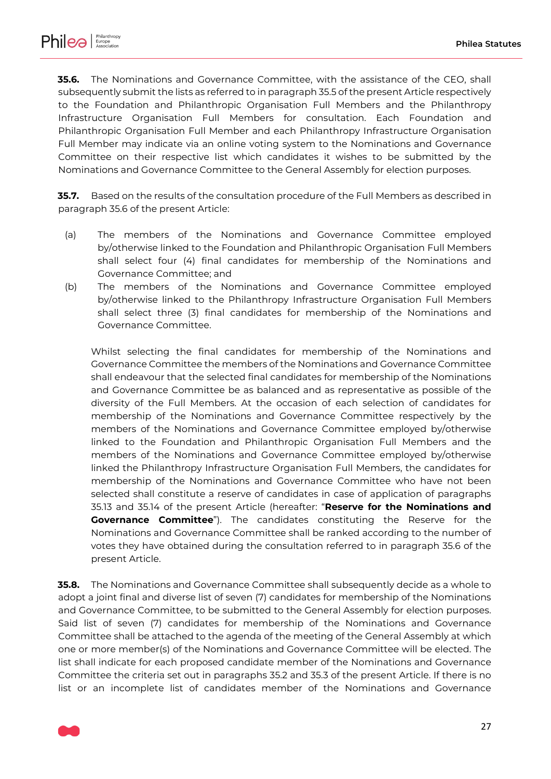

<span id="page-26-0"></span>**35.6.** The Nominations and Governance Committee, with the assistance of the CEO, shall subsequently submit the lists as referred to in paragrap[h 35.5](#page-25-1) of the present Article respectively to the Foundation and Philanthropic Organisation Full Members and the Philanthropy Infrastructure Organisation Full Members for consultation. Each Foundation and Philanthropic Organisation Full Member and each Philanthropy Infrastructure Organisation Full Member may indicate via an online voting system to the Nominations and Governance Committee on their respective list which candidates it wishes to be submitted by the Nominations and Governance Committee to the General Assembly for election purposes.

**35.7.** Based on the results of the consultation procedure of the Full Members as described in paragraph [35.6](#page-26-0) of the present Article:

- (a) The members of the Nominations and Governance Committee employed by/otherwise linked to the Foundation and Philanthropic Organisation Full Members shall select four (4) final candidates for membership of the Nominations and Governance Committee; and
- (b) The members of the Nominations and Governance Committee employed by/otherwise linked to the Philanthropy Infrastructure Organisation Full Members shall select three (3) final candidates for membership of the Nominations and Governance Committee.

Whilst selecting the final candidates for membership of the Nominations and Governance Committee the members of the Nominations and Governance Committee shall endeavour that the selected final candidates for membership of the Nominations and Governance Committee be as balanced and as representative as possible of the diversity of the Full Members. At the occasion of each selection of candidates for membership of the Nominations and Governance Committee respectively by the members of the Nominations and Governance Committee employed by/otherwise linked to the Foundation and Philanthropic Organisation Full Members and the members of the Nominations and Governance Committee employed by/otherwise linked the Philanthropy Infrastructure Organisation Full Members, the candidates for membership of the Nominations and Governance Committee who have not been selected shall constitute a reserve of candidates in case of application of paragraphs [35.13](#page-28-0) and [35.14](#page-28-1) of the present Article (hereafter: "**Reserve for the Nominations and Governance Committee**"). The candidates constituting the Reserve for the Nominations and Governance Committee shall be ranked according to the number of votes they have obtained during the consultation referred to in paragraph [35.6](#page-26-0) of the present Article.

**35.8.** The Nominations and Governance Committee shall subsequently decide as a whole to adopt a joint final and diverse list of seven (7) candidates for membership of the Nominations and Governance Committee, to be submitted to the General Assembly for election purposes. Said list of seven (7) candidates for membership of the Nominations and Governance Committee shall be attached to the agenda of the meeting of the General Assembly at which one or more member(s) of the Nominations and Governance Committee will be elected. The list shall indicate for each proposed candidate member of the Nominations and Governance Committee the criteria set out in paragraphs [35.2](#page-24-0) and [35.3](#page-25-0) of the present Article. If there is no list or an incomplete list of candidates member of the Nominations and Governance

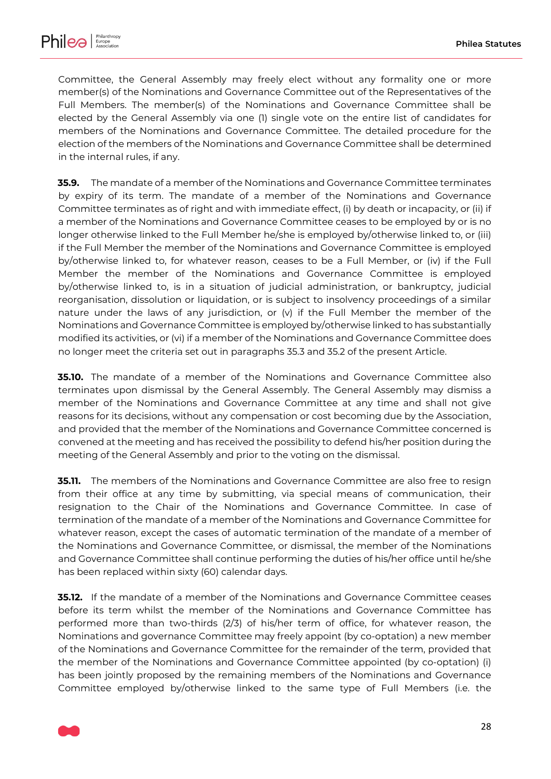

Committee, the General Assembly may freely elect without any formality one or more member(s) of the Nominations and Governance Committee out of the Representatives of the Full Members. The member(s) of the Nominations and Governance Committee shall be elected by the General Assembly via one (1) single vote on the entire list of candidates for members of the Nominations and Governance Committee. The detailed procedure for the election of the members of the Nominations and Governance Committee shall be determined in the internal rules, if any.

**35.9.** The mandate of a member of the Nominations and Governance Committee terminates by expiry of its term. The mandate of a member of the Nominations and Governance Committee terminates as of right and with immediate effect, (i) by death or incapacity, or (ii) if a member of the Nominations and Governance Committee ceases to be employed by or is no longer otherwise linked to the Full Member he/she is employed by/otherwise linked to, or (iii) if the Full Member the member of the Nominations and Governance Committee is employed by/otherwise linked to, for whatever reason, ceases to be a Full Member, or (iv) if the Full Member the member of the Nominations and Governance Committee is employed by/otherwise linked to, is in a situation of judicial administration, or bankruptcy, judicial reorganisation, dissolution or liquidation, or is subject to insolvency proceedings of a similar nature under the laws of any jurisdiction, or (v) if the Full Member the member of the Nominations and Governance Committee is employed by/otherwise linked to has substantially modified its activities, or (vi) if a member of the Nominations and Governance Committee does no longer meet the criteria set out in paragraphs [35.3](#page-25-0) and [35.2](#page-24-0) of the present Article.

**35.10.** The mandate of a member of the Nominations and Governance Committee also terminates upon dismissal by the General Assembly. The General Assembly may dismiss a member of the Nominations and Governance Committee at any time and shall not give reasons for its decisions, without any compensation or cost becoming due by the Association, and provided that the member of the Nominations and Governance Committee concerned is convened at the meeting and has received the possibility to defend his/her position during the meeting of the General Assembly and prior to the voting on the dismissal.

**35.11.** The members of the Nominations and Governance Committee are also free to resign from their office at any time by submitting, via special means of communication, their resignation to the Chair of the Nominations and Governance Committee. In case of termination of the mandate of a member of the Nominations and Governance Committee for whatever reason, except the cases of automatic termination of the mandate of a member of the Nominations and Governance Committee, or dismissal, the member of the Nominations and Governance Committee shall continue performing the duties of his/her office until he/she has been replaced within sixty (60) calendar days.

<span id="page-27-0"></span>**35.12.** If the mandate of a member of the Nominations and Governance Committee ceases before its term whilst the member of the Nominations and Governance Committee has performed more than two-thirds (2/3) of his/her term of office, for whatever reason, the Nominations and governance Committee may freely appoint (by co-optation) a new member of the Nominations and Governance Committee for the remainder of the term, provided that the member of the Nominations and Governance Committee appointed (by co-optation) (i) has been jointly proposed by the remaining members of the Nominations and Governance Committee employed by/otherwise linked to the same type of Full Members (i.e. the

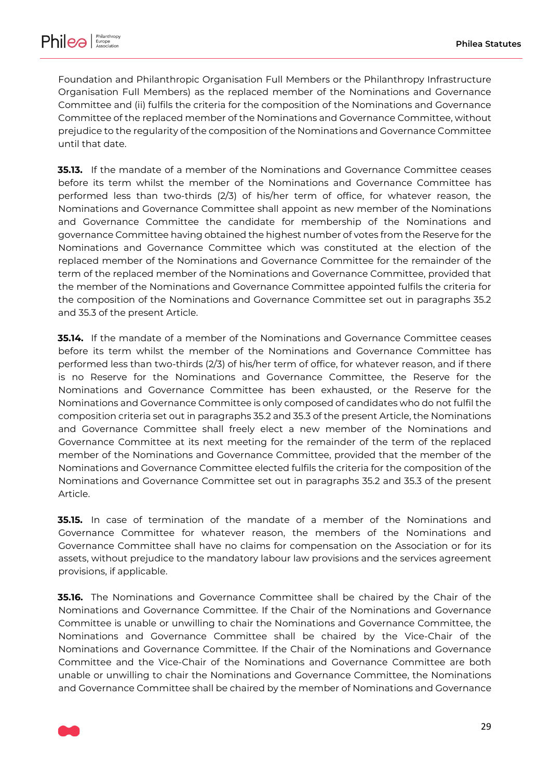Foundation and Philanthropic Organisation Full Members or the Philanthropy Infrastructure Organisation Full Members) as the replaced member of the Nominations and Governance Committee and (ii) fulfils the criteria for the composition of the Nominations and Governance Committee of the replaced member of the Nominations and Governance Committee, without prejudice to the regularity of the composition of the Nominations and Governance Committee until that date.

<span id="page-28-0"></span>**35.13.** If the mandate of a member of the Nominations and Governance Committee ceases before its term whilst the member of the Nominations and Governance Committee has performed less than two-thirds (2/3) of his/her term of office, for whatever reason, the Nominations and Governance Committee shall appoint as new member of the Nominations and Governance Committee the candidate for membership of the Nominations and governance Committee having obtained the highest number of votes from the Reserve for the Nominations and Governance Committee which was constituted at the election of the replaced member of the Nominations and Governance Committee for the remainder of the term of the replaced member of the Nominations and Governance Committee, provided that the member of the Nominations and Governance Committee appointed fulfils the criteria for the composition of the Nominations and Governance Committee set out in paragraphs [35.2](#page-24-0) and [35.3](#page-25-0) of the present Article.

<span id="page-28-1"></span>**35.14.** If the mandate of a member of the Nominations and Governance Committee ceases before its term whilst the member of the Nominations and Governance Committee has performed less than two-thirds (2/3) of his/her term of office, for whatever reason, and if there is no Reserve for the Nominations and Governance Committee, the Reserve for the Nominations and Governance Committee has been exhausted, or the Reserve for the Nominations and Governance Committee is only composed of candidates who do not fulfil the composition criteria set out in paragraphs [35.2](#page-24-0) and [35.3](#page-25-0) of the present Article, the Nominations and Governance Committee shall freely elect a new member of the Nominations and Governance Committee at its next meeting for the remainder of the term of the replaced member of the Nominations and Governance Committee, provided that the member of the Nominations and Governance Committee elected fulfils the criteria for the composition of the Nominations and Governance Committee set out in paragraphs [35.2](#page-24-0) and [35.3](#page-25-0) of the present Article.

**35.15.** In case of termination of the mandate of a member of the Nominations and Governance Committee for whatever reason, the members of the Nominations and Governance Committee shall have no claims for compensation on the Association or for its assets, without prejudice to the mandatory labour law provisions and the services agreement provisions, if applicable.

**35.16.** The Nominations and Governance Committee shall be chaired by the Chair of the Nominations and Governance Committee. If the Chair of the Nominations and Governance Committee is unable or unwilling to chair the Nominations and Governance Committee, the Nominations and Governance Committee shall be chaired by the Vice-Chair of the Nominations and Governance Committee. If the Chair of the Nominations and Governance Committee and the Vice-Chair of the Nominations and Governance Committee are both unable or unwilling to chair the Nominations and Governance Committee, the Nominations and Governance Committee shall be chaired by the member of Nominations and Governance

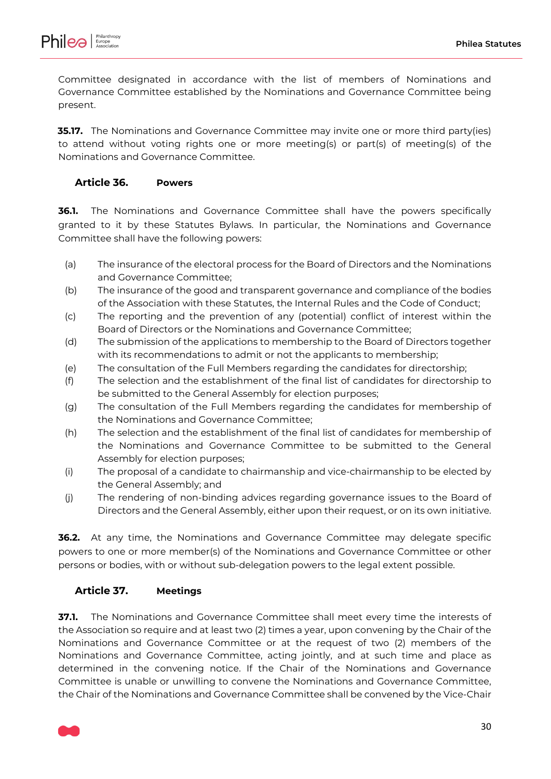

Committee designated in accordance with the list of members of Nominations and Governance Committee established by the Nominations and Governance Committee being present.

**35.17.** The Nominations and Governance Committee may invite one or more third party(ies) to attend without voting rights one or more meeting(s) or part(s) of meeting(s) of the Nominations and Governance Committee.

#### <span id="page-29-0"></span>**Article 36. Powers**

**36.1.** The Nominations and Governance Committee shall have the powers specifically granted to it by these Statutes Bylaws. In particular, the Nominations and Governance Committee shall have the following powers:

- (a) The insurance of the electoral process for the Board of Directors and the Nominations and Governance Committee;
- (b) The insurance of the good and transparent governance and compliance of the bodies of the Association with these Statutes, the Internal Rules and the Code of Conduct;
- (c) The reporting and the prevention of any (potential) conflict of interest within the Board of Directors or the Nominations and Governance Committee;
- (d) The submission of the applications to membership to the Board of Directors together with its recommendations to admit or not the applicants to membership;
- (e) The consultation of the Full Members regarding the candidates for directorship;
- (f) The selection and the establishment of the final list of candidates for directorship to be submitted to the General Assembly for election purposes;
- (g) The consultation of the Full Members regarding the candidates for membership of the Nominations and Governance Committee;
- (h) The selection and the establishment of the final list of candidates for membership of the Nominations and Governance Committee to be submitted to the General Assembly for election purposes;
- (i) The proposal of a candidate to chairmanship and vice-chairmanship to be elected by the General Assembly; and
- (j) The rendering of non-binding advices regarding governance issues to the Board of Directors and the General Assembly, either upon their request, or on its own initiative.

**36.2.** At any time, the Nominations and Governance Committee may delegate specific powers to one or more member(s) of the Nominations and Governance Committee or other persons or bodies, with or without sub-delegation powers to the legal extent possible.

### <span id="page-29-1"></span>**Article 37. Meetings**

**37.1.** The Nominations and Governance Committee shall meet every time the interests of the Association so require and at least two (2) times a year, upon convening by the Chair of the Nominations and Governance Committee or at the request of two (2) members of the Nominations and Governance Committee, acting jointly, and at such time and place as determined in the convening notice. If the Chair of the Nominations and Governance Committee is unable or unwilling to convene the Nominations and Governance Committee, the Chair of the Nominations and Governance Committee shall be convened by the Vice-Chair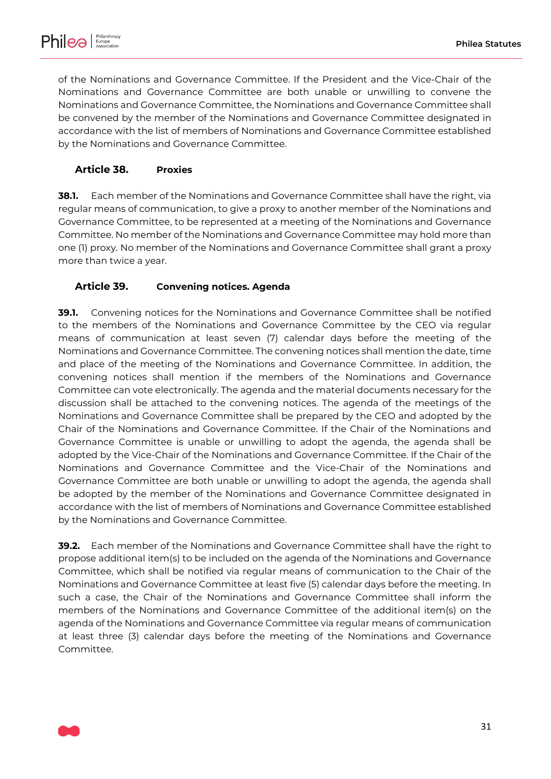

of the Nominations and Governance Committee. If the President and the Vice-Chair of the Nominations and Governance Committee are both unable or unwilling to convene the Nominations and Governance Committee, the Nominations and Governance Committee shall be convened by the member of the Nominations and Governance Committee designated in accordance with the list of members of Nominations and Governance Committee established by the Nominations and Governance Committee.

# <span id="page-30-1"></span>**Article 38. Proxies**

**38.1.** Each member of the Nominations and Governance Committee shall have the right, via regular means of communication, to give a proxy to another member of the Nominations and Governance Committee, to be represented at a meeting of the Nominations and Governance Committee. No member of the Nominations and Governance Committee may hold more than one (1) proxy. No member of the Nominations and Governance Committee shall grant a proxy more than twice a year.

# <span id="page-30-0"></span>**Article 39. Convening notices. Agenda**

**39.1.** Convening notices for the Nominations and Governance Committee shall be notified to the members of the Nominations and Governance Committee by the CEO via regular means of communication at least seven (7) calendar days before the meeting of the Nominations and Governance Committee. The convening notices shall mention the date, time and place of the meeting of the Nominations and Governance Committee. In addition, the convening notices shall mention if the members of the Nominations and Governance Committee can vote electronically. The agenda and the material documents necessary for the discussion shall be attached to the convening notices. The agenda of the meetings of the Nominations and Governance Committee shall be prepared by the CEO and adopted by the Chair of the Nominations and Governance Committee. If the Chair of the Nominations and Governance Committee is unable or unwilling to adopt the agenda, the agenda shall be adopted by the Vice-Chair of the Nominations and Governance Committee. If the Chair of the Nominations and Governance Committee and the Vice-Chair of the Nominations and Governance Committee are both unable or unwilling to adopt the agenda, the agenda shall be adopted by the member of the Nominations and Governance Committee designated in accordance with the list of members of Nominations and Governance Committee established by the Nominations and Governance Committee.

**39.2.** Each member of the Nominations and Governance Committee shall have the right to propose additional item(s) to be included on the agenda of the Nominations and Governance Committee, which shall be notified via regular means of communication to the Chair of the Nominations and Governance Committee at least five (5) calendar days before the meeting. In such a case, the Chair of the Nominations and Governance Committee shall inform the members of the Nominations and Governance Committee of the additional item(s) on the agenda of the Nominations and Governance Committee via regular means of communication at least three (3) calendar days before the meeting of the Nominations and Governance Committee.

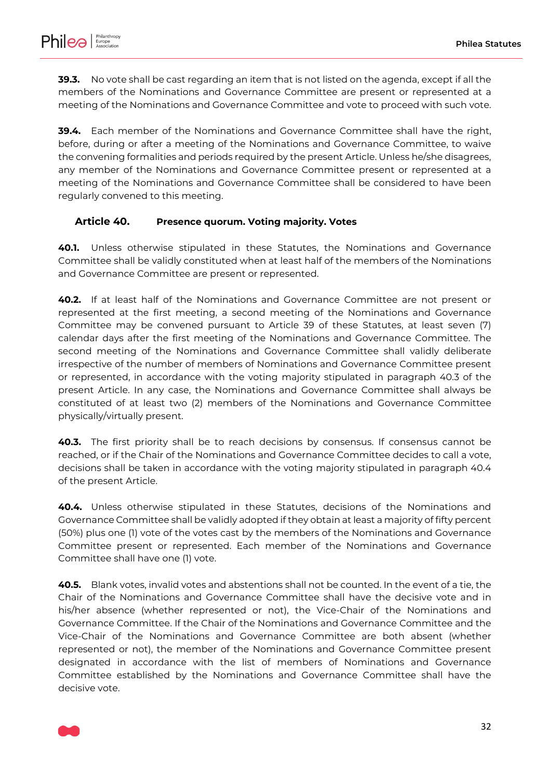

**39.3.** No vote shall be cast regarding an item that is not listed on the agenda, except if all the members of the Nominations and Governance Committee are present or represented at a meeting of the Nominations and Governance Committee and vote to proceed with such vote.

**39.4.** Each member of the Nominations and Governance Committee shall have the right, before, during or after a meeting of the Nominations and Governance Committee, to waive the convening formalities and periods required by the present Article. Unless he/she disagrees, any member of the Nominations and Governance Committee present or represented at a meeting of the Nominations and Governance Committee shall be considered to have been regularly convened to this meeting.

#### <span id="page-31-2"></span>**Article 40. Presence quorum. Voting majority. Votes**

**40.1.** Unless otherwise stipulated in these Statutes, the Nominations and Governance Committee shall be validly constituted when at least half of the members of the Nominations and Governance Committee are present or represented.

**40.2.** If at least half of the Nominations and Governance Committee are not present or represented at the first meeting, a second meeting of the Nominations and Governance Committee may be convened pursuant to [Article 39](#page-30-0) of these Statutes, at least seven (7) calendar days after the first meeting of the Nominations and Governance Committee. The second meeting of the Nominations and Governance Committee shall validly deliberate irrespective of the number of members of Nominations and Governance Committee present or represented, in accordance with the voting majority stipulated in paragraph [40.3](#page-31-0) of the present Article. In any case, the Nominations and Governance Committee shall always be constituted of at least two (2) members of the Nominations and Governance Committee physically/virtually present.

<span id="page-31-0"></span>**40.3.** The first priority shall be to reach decisions by consensus. If consensus cannot be reached, or if the Chair of the Nominations and Governance Committee decides to call a vote, decisions shall be taken in accordance with the voting majority stipulated in paragraph [40.4](#page-31-1) of the present Article.

<span id="page-31-1"></span>**40.4.** Unless otherwise stipulated in these Statutes, decisions of the Nominations and Governance Committee shall be validly adopted if they obtain at least a majority of fifty percent (50%) plus one (1) vote of the votes cast by the members of the Nominations and Governance Committee present or represented. Each member of the Nominations and Governance Committee shall have one (1) vote.

**40.5.** Blank votes, invalid votes and abstentions shall not be counted. In the event of a tie, the Chair of the Nominations and Governance Committee shall have the decisive vote and in his/her absence (whether represented or not), the Vice-Chair of the Nominations and Governance Committee. If the Chair of the Nominations and Governance Committee and the Vice-Chair of the Nominations and Governance Committee are both absent (whether represented or not), the member of the Nominations and Governance Committee present designated in accordance with the list of members of Nominations and Governance Committee established by the Nominations and Governance Committee shall have the decisive vote.

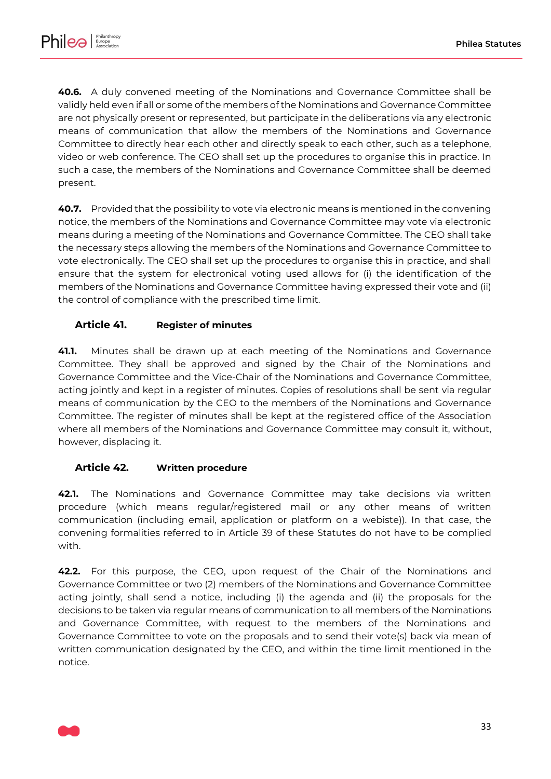

**40.6.** A duly convened meeting of the Nominations and Governance Committee shall be validly held even if all or some of the members of the Nominations and Governance Committee are not physically present or represented, but participate in the deliberations via any electronic means of communication that allow the members of the Nominations and Governance Committee to directly hear each other and directly speak to each other, such as a telephone, video or web conference. The CEO shall set up the procedures to organise this in practice. In such a case, the members of the Nominations and Governance Committee shall be deemed present.

**40.7.** Provided that the possibility to vote via electronic means is mentioned in the convening notice, the members of the Nominations and Governance Committee may vote via electronic means during a meeting of the Nominations and Governance Committee. The CEO shall take the necessary steps allowing the members of the Nominations and Governance Committee to vote electronically. The CEO shall set up the procedures to organise this in practice, and shall ensure that the system for electronical voting used allows for (i) the identification of the members of the Nominations and Governance Committee having expressed their vote and (ii) the control of compliance with the prescribed time limit.

### <span id="page-32-0"></span>**Article 41. Register of minutes**

**41.1.** Minutes shall be drawn up at each meeting of the Nominations and Governance Committee. They shall be approved and signed by the Chair of the Nominations and Governance Committee and the Vice-Chair of the Nominations and Governance Committee, acting jointly and kept in a register of minutes. Copies of resolutions shall be sent via regular means of communication by the CEO to the members of the Nominations and Governance Committee. The register of minutes shall be kept at the registered office of the Association where all members of the Nominations and Governance Committee may consult it, without, however, displacing it.

### <span id="page-32-1"></span>**Article 42. Written procedure**

**42.1.** The Nominations and Governance Committee may take decisions via written procedure (which means regular/registered mail or any other means of written communication (including email, application or platform on a webiste)). In that case, the convening formalities referred to in [Article 39](#page-30-0) of these Statutes do not have to be complied with.

**42.2.** For this purpose, the CEO, upon request of the Chair of the Nominations and Governance Committee or two (2) members of the Nominations and Governance Committee acting jointly, shall send a notice, including (i) the agenda and (ii) the proposals for the decisions to be taken via regular means of communication to all members of the Nominations and Governance Committee, with request to the members of the Nominations and Governance Committee to vote on the proposals and to send their vote(s) back via mean of written communication designated by the CEO, and within the time limit mentioned in the notice.

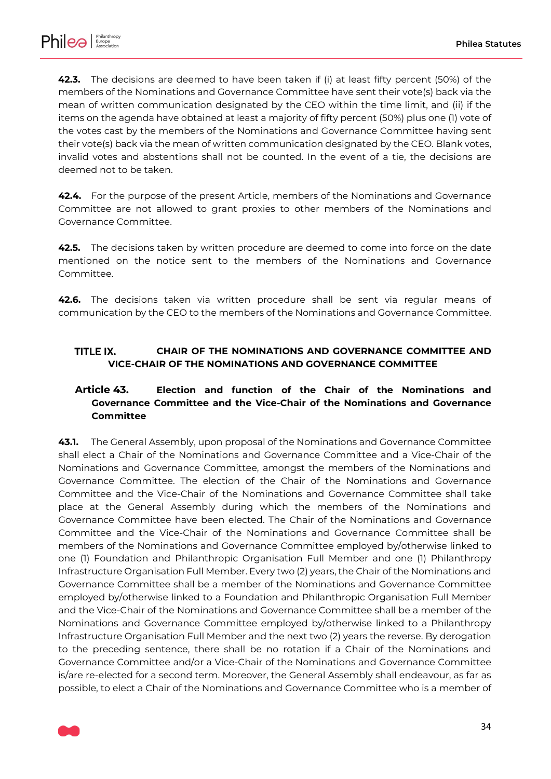

**42.3.** The decisions are deemed to have been taken if (i) at least fifty percent (50%) of the members of the Nominations and Governance Committee have sent their vote(s) back via the mean of written communication designated by the CEO within the time limit, and (ii) if the items on the agenda have obtained at least a majority of fifty percent (50%) plus one (1) vote of the votes cast by the members of the Nominations and Governance Committee having sent their vote(s) back via the mean of written communication designated by the CEO. Blank votes, invalid votes and abstentions shall not be counted. In the event of a tie, the decisions are deemed not to be taken.

**42.4.** For the purpose of the present Article, members of the Nominations and Governance Committee are not allowed to grant proxies to other members of the Nominations and Governance Committee.

**42.5.** The decisions taken by written procedure are deemed to come into force on the date mentioned on the notice sent to the members of the Nominations and Governance Committee.

**42.6.** The decisions taken via written procedure shall be sent via regular means of communication by the CEO to the members of the Nominations and Governance Committee.

#### <span id="page-33-1"></span>TITI F IX. **CHAIR OF THE NOMINATIONS AND GOVERNANCE COMMITTEE AND VICE-CHAIR OF THE NOMINATIONS AND GOVERNANCE COMMITTEE**

# <span id="page-33-0"></span>**Article 43. Election and function of the Chair of the Nominations and Governance Committee and the Vice-Chair of the Nominations and Governance Committee**

**43.1.** The General Assembly, upon proposal of the Nominations and Governance Committee shall elect a Chair of the Nominations and Governance Committee and a Vice-Chair of the Nominations and Governance Committee, amongst the members of the Nominations and Governance Committee. The election of the Chair of the Nominations and Governance Committee and the Vice-Chair of the Nominations and Governance Committee shall take place at the General Assembly during which the members of the Nominations and Governance Committee have been elected. The Chair of the Nominations and Governance Committee and the Vice-Chair of the Nominations and Governance Committee shall be members of the Nominations and Governance Committee employed by/otherwise linked to one (1) Foundation and Philanthropic Organisation Full Member and one (1) Philanthropy Infrastructure Organisation Full Member. Every two (2) years, the Chair of the Nominations and Governance Committee shall be a member of the Nominations and Governance Committee employed by/otherwise linked to a Foundation and Philanthropic Organisation Full Member and the Vice-Chair of the Nominations and Governance Committee shall be a member of the Nominations and Governance Committee employed by/otherwise linked to a Philanthropy Infrastructure Organisation Full Member and the next two (2) years the reverse. By derogation to the preceding sentence, there shall be no rotation if a Chair of the Nominations and Governance Committee and/or a Vice-Chair of the Nominations and Governance Committee is/are re-elected for a second term. Moreover, the General Assembly shall endeavour, as far as possible, to elect a Chair of the Nominations and Governance Committee who is a member of

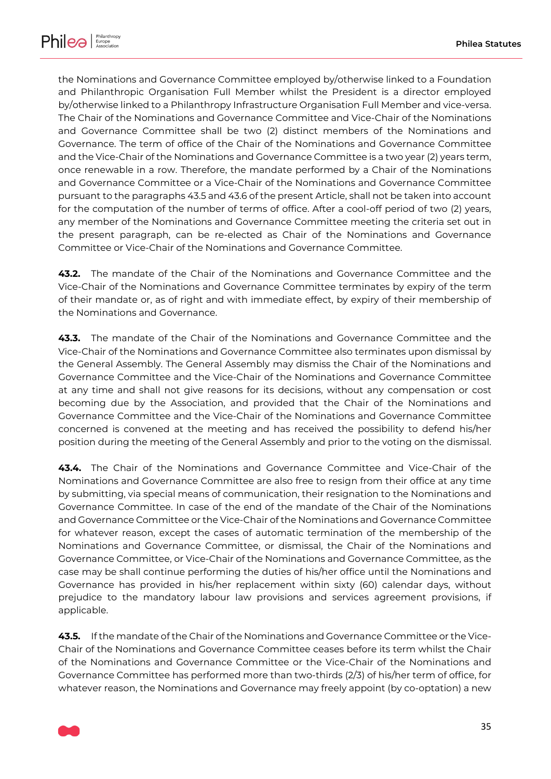

the Nominations and Governance Committee employed by/otherwise linked to a Foundation and Philanthropic Organisation Full Member whilst the President is a director employed by/otherwise linked to a Philanthropy Infrastructure Organisation Full Member and vice-versa. The Chair of the Nominations and Governance Committee and Vice-Chair of the Nominations and Governance Committee shall be two (2) distinct members of the Nominations and Governance. The term of office of the Chair of the Nominations and Governance Committee and the Vice-Chair of the Nominations and Governance Committee is a two year (2) years term, once renewable in a row. Therefore, the mandate performed by a Chair of the Nominations and Governance Committee or a Vice-Chair of the Nominations and Governance Committee pursuant to the paragraph[s 43.5](#page-34-0) an[d 43.6](#page-35-0) of the present Article, shall not be taken into account for the computation of the number of terms of office. After a cool-off period of two (2) years, any member of the Nominations and Governance Committee meeting the criteria set out in the present paragraph, can be re-elected as Chair of the Nominations and Governance Committee or Vice-Chair of the Nominations and Governance Committee.

**43.2.** The mandate of the Chair of the Nominations and Governance Committee and the Vice-Chair of the Nominations and Governance Committee terminates by expiry of the term of their mandate or, as of right and with immediate effect, by expiry of their membership of the Nominations and Governance.

**43.3.** The mandate of the Chair of the Nominations and Governance Committee and the Vice-Chair of the Nominations and Governance Committee also terminates upon dismissal by the General Assembly. The General Assembly may dismiss the Chair of the Nominations and Governance Committee and the Vice-Chair of the Nominations and Governance Committee at any time and shall not give reasons for its decisions, without any compensation or cost becoming due by the Association, and provided that the Chair of the Nominations and Governance Committee and the Vice-Chair of the Nominations and Governance Committee concerned is convened at the meeting and has received the possibility to defend his/her position during the meeting of the General Assembly and prior to the voting on the dismissal.

**43.4.** The Chair of the Nominations and Governance Committee and Vice-Chair of the Nominations and Governance Committee are also free to resign from their office at any time by submitting, via special means of communication, their resignation to the Nominations and Governance Committee. In case of the end of the mandate of the Chair of the Nominations and Governance Committee or the Vice-Chair of the Nominations and Governance Committee for whatever reason, except the cases of automatic termination of the membership of the Nominations and Governance Committee, or dismissal, the Chair of the Nominations and Governance Committee, or Vice-Chair of the Nominations and Governance Committee, as the case may be shall continue performing the duties of his/her office until the Nominations and Governance has provided in his/her replacement within sixty (60) calendar days, without prejudice to the mandatory labour law provisions and services agreement provisions, if applicable.

<span id="page-34-0"></span>**43.5.** If the mandate of the Chair of the Nominations and Governance Committee or the Vice-Chair of the Nominations and Governance Committee ceases before its term whilst the Chair of the Nominations and Governance Committee or the Vice-Chair of the Nominations and Governance Committee has performed more than two-thirds (2/3) of his/her term of office, for whatever reason, the Nominations and Governance may freely appoint (by co-optation) a new

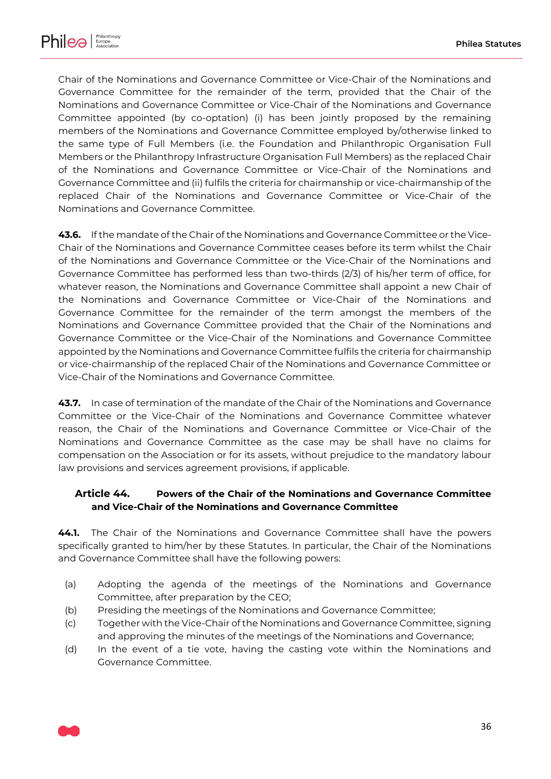

Chair of the Nominations and Governance Committee or Vice-Chair of the Nominations and Governance Committee for the remainder of the term, provided that the Chair of the Nominations and Governance Committee or Vice-Chair of the Nominations and Governance Committee appointed (by co-optation) (i) has been jointly proposed by the remaining members of the Nominations and Governance Committee employed by/otherwise linked to the same type of Full Members (i.e. the Foundation and Philanthropic Organisation Full Members or the Philanthropy Infrastructure Organisation Full Members) as the replaced Chair of the Nominations and Governance Committee or Vice-Chair of the Nominations and Governance Committee and (ii) fulfils the criteria for chairmanship or vice-chairmanship of the replaced Chair of the Nominations and Governance Committee or Vice-Chair of the Nominations and Governance Committee.

<span id="page-35-0"></span>**43.6.** If the mandate of the Chair of the Nominations and Governance Committee or the Vice-Chair of the Nominations and Governance Committee ceases before its term whilst the Chair of the Nominations and Governance Committee or the Vice-Chair of the Nominations and Governance Committee has performed less than two-thirds (2/3) of his/her term of office, for whatever reason, the Nominations and Governance Committee shall appoint a new Chair of the Nominations and Governance Committee or Vice-Chair of the Nominations and Governance Committee for the remainder of the term amongst the members of the Nominations and Governance Committee provided that the Chair of the Nominations and Governance Committee or the Vice-Chair of the Nominations and Governance Committee appointed by the Nominations and Governance Committee fulfils the criteria for chairmanship or vice-chairmanship of the replaced Chair of the Nominations and Governance Committee or Vice-Chair of the Nominations and Governance Committee.

**43.7.** In case of termination of the mandate of the Chair of the Nominations and Governance Committee or the Vice-Chair of the Nominations and Governance Committee whatever reason, the Chair of the Nominations and Governance Committee or Vice-Chair of the Nominations and Governance Committee as the case may be shall have no claims for compensation on the Association or for its assets, without prejudice to the mandatory labour law provisions and services agreement provisions, if applicable.

# <span id="page-35-1"></span>**Article 44. Powers of the Chair of the Nominations and Governance Committee and Vice-Chair of the Nominations and Governance Committee**

**44.1.** The Chair of the Nominations and Governance Committee shall have the powers specifically granted to him/her by these Statutes. In particular, the Chair of the Nominations and Governance Committee shall have the following powers:

- (a) Adopting the agenda of the meetings of the Nominations and Governance Committee, after preparation by the CEO;
- (b) Presiding the meetings of the Nominations and Governance Committee;
- (c) Together with the Vice-Chair of the Nominations and Governance Committee, signing and approving the minutes of the meetings of the Nominations and Governance;
- (d) In the event of a tie vote, having the casting vote within the Nominations and Governance Committee.

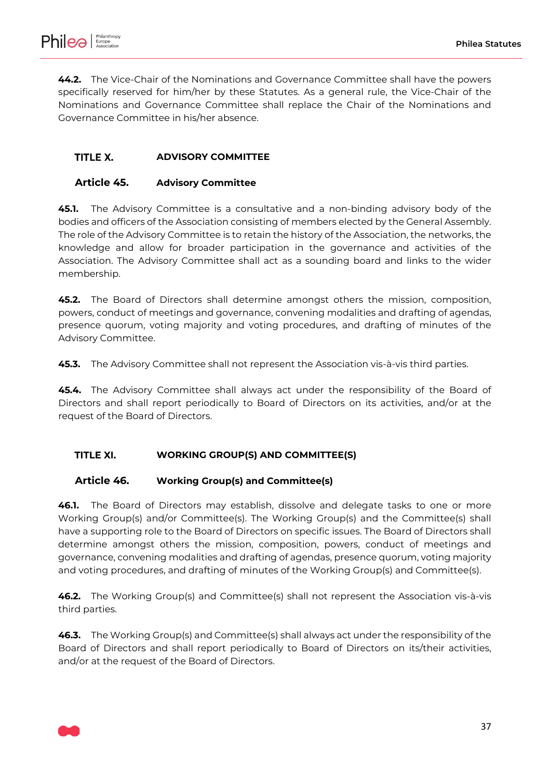

**44.2.** The Vice-Chair of the Nominations and Governance Committee shall have the powers specifically reserved for him/her by these Statutes. As a general rule, the Vice-Chair of the Nominations and Governance Committee shall replace the Chair of the Nominations and Governance Committee in his/her absence.

#### <span id="page-36-0"></span>TITLE X. **ADVISORY COMMITTEE**

#### <span id="page-36-1"></span>**Article 45. Advisory Committee**

**45.1.** The Advisory Committee is a consultative and a non-binding advisory body of the bodies and officers of the Association consisting of members elected by the General Assembly. The role of the Advisory Committee is to retain the history of the Association, the networks, the knowledge and allow for broader participation in the governance and activities of the Association. The Advisory Committee shall act as a sounding board and links to the wider membership.

**45.2.** The Board of Directors shall determine amongst others the mission, composition, powers, conduct of meetings and governance, convening modalities and drafting of agendas, presence quorum, voting majority and voting procedures, and drafting of minutes of the Advisory Committee.

**45.3.** The Advisory Committee shall not represent the Association vis-à-vis third parties.

**45.4.** The Advisory Committee shall always act under the responsibility of the Board of Directors and shall report periodically to Board of Directors on its activities, and/or at the request of the Board of Directors.

#### <span id="page-36-2"></span>TITLE XI. **WORKING GROUP(S) AND COMMITTEE(S)**

#### <span id="page-36-3"></span>**Article 46. Working Group(s) and Committee(s)**

**46.1.** The Board of Directors may establish, dissolve and delegate tasks to one or more Working Group(s) and/or Committee(s). The Working Group(s) and the Committee(s) shall have a supporting role to the Board of Directors on specific issues. The Board of Directors shall determine amongst others the mission, composition, powers, conduct of meetings and governance, convening modalities and drafting of agendas, presence quorum, voting majority and voting procedures, and drafting of minutes of the Working Group(s) and Committee(s).

**46.2.** The Working Group(s) and Committee(s) shall not represent the Association vis-à-vis third parties.

**46.3.** The Working Group(s) and Committee(s) shall always act under the responsibility of the Board of Directors and shall report periodically to Board of Directors on its/their activities, and/or at the request of the Board of Directors.

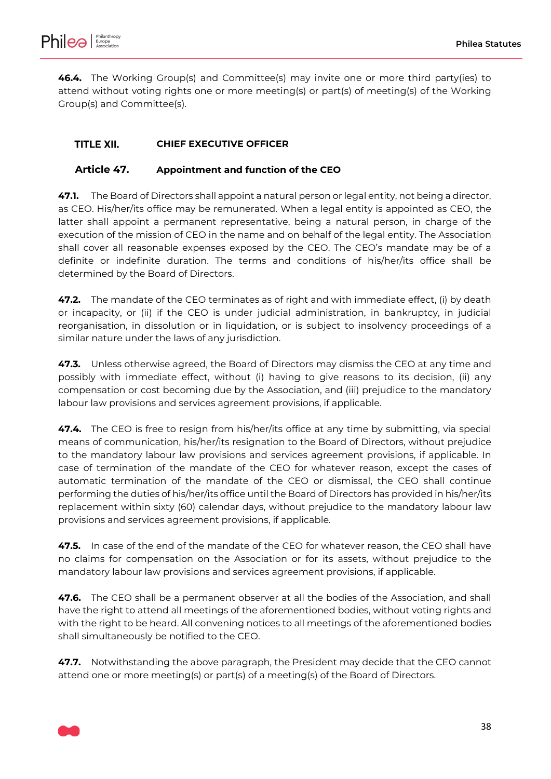

**46.4.** The Working Group(s) and Committee(s) may invite one or more third party(ies) to attend without voting rights one or more meeting(s) or part(s) of meeting(s) of the Working Group(s) and Committee(s).

#### <span id="page-37-1"></span>TITLE XII. **CHIEF EXECUTIVE OFFICER**

# <span id="page-37-0"></span>**Article 47. Appointment and function of the CEO**

**47.1.** The Board of Directors shall appoint a natural person or legal entity, not being a director, as CEO. His/her/its office may be remunerated. When a legal entity is appointed as CEO, the latter shall appoint a permanent representative, being a natural person, in charge of the execution of the mission of CEO in the name and on behalf of the legal entity. The Association shall cover all reasonable expenses exposed by the CEO. The CEO's mandate may be of a definite or indefinite duration. The terms and conditions of his/her/its office shall be determined by the Board of Directors.

**47.2.** The mandate of the CEO terminates as of right and with immediate effect, (i) by death or incapacity, or (ii) if the CEO is under judicial administration, in bankruptcy, in judicial reorganisation, in dissolution or in liquidation, or is subject to insolvency proceedings of a similar nature under the laws of any jurisdiction.

**47.3.** Unless otherwise agreed, the Board of Directors may dismiss the CEO at any time and possibly with immediate effect, without (i) having to give reasons to its decision, (ii) any compensation or cost becoming due by the Association, and (iii) prejudice to the mandatory labour law provisions and services agreement provisions, if applicable.

**47.4.** The CEO is free to resign from his/her/its office at any time by submitting, via special means of communication, his/her/its resignation to the Board of Directors, without prejudice to the mandatory labour law provisions and services agreement provisions, if applicable. In case of termination of the mandate of the CEO for whatever reason, except the cases of automatic termination of the mandate of the CEO or dismissal, the CEO shall continue performing the duties of his/her/its office until the Board of Directors has provided in his/her/its replacement within sixty (60) calendar days, without prejudice to the mandatory labour law provisions and services agreement provisions, if applicable.

**47.5.** In case of the end of the mandate of the CEO for whatever reason, the CEO shall have no claims for compensation on the Association or for its assets, without prejudice to the mandatory labour law provisions and services agreement provisions, if applicable.

**47.6.** The CEO shall be a permanent observer at all the bodies of the Association, and shall have the right to attend all meetings of the aforementioned bodies, without voting rights and with the right to be heard. All convening notices to all meetings of the aforementioned bodies shall simultaneously be notified to the CEO.

**47.7.** Notwithstanding the above paragraph, the President may decide that the CEO cannot attend one or more meeting(s) or part(s) of a meeting(s) of the Board of Directors.

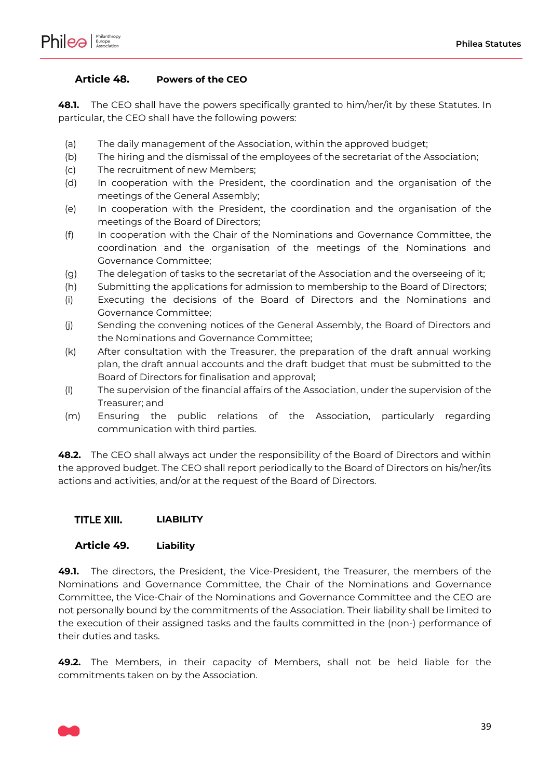

### <span id="page-38-0"></span>**Article 48. Powers of the CEO**

**48.1.** The CEO shall have the powers specifically granted to him/her/it by these Statutes. In particular, the CEO shall have the following powers:

- (a) The daily management of the Association, within the approved budget;
- (b) The hiring and the dismissal of the employees of the secretariat of the Association;
- (c) The recruitment of new Members;
- (d) In cooperation with the President, the coordination and the organisation of the meetings of the General Assembly;
- (e) In cooperation with the President, the coordination and the organisation of the meetings of the Board of Directors;
- (f) In cooperation with the Chair of the Nominations and Governance Committee, the coordination and the organisation of the meetings of the Nominations and Governance Committee;
- (g) The delegation of tasks to the secretariat of the Association and the overseeing of it;
- (h) Submitting the applications for admission to membership to the Board of Directors;
- (i) Executing the decisions of the Board of Directors and the Nominations and Governance Committee;
- (j) Sending the convening notices of the General Assembly, the Board of Directors and the Nominations and Governance Committee;
- (k) After consultation with the Treasurer, the preparation of the draft annual working plan, the draft annual accounts and the draft budget that must be submitted to the Board of Directors for finalisation and approval;
- (l) The supervision of the financial affairs of the Association, under the supervision of the Treasurer; and
- (m) Ensuring the public relations of the Association, particularly regarding communication with third parties.

**48.2.** The CEO shall always act under the responsibility of the Board of Directors and within the approved budget. The CEO shall report periodically to the Board of Directors on his/her/its actions and activities, and/or at the request of the Board of Directors.

#### <span id="page-38-1"></span>TITLE XIII. **LIABILITY**

### <span id="page-38-2"></span>**Article 49. Liability**

**49.1.** The directors, the President, the Vice-President, the Treasurer, the members of the Nominations and Governance Committee, the Chair of the Nominations and Governance Committee, the Vice-Chair of the Nominations and Governance Committee and the CEO are not personally bound by the commitments of the Association. Their liability shall be limited to the execution of their assigned tasks and the faults committed in the (non-) performance of their duties and tasks.

**49.2.** The Members, in their capacity of Members, shall not be held liable for the commitments taken on by the Association.

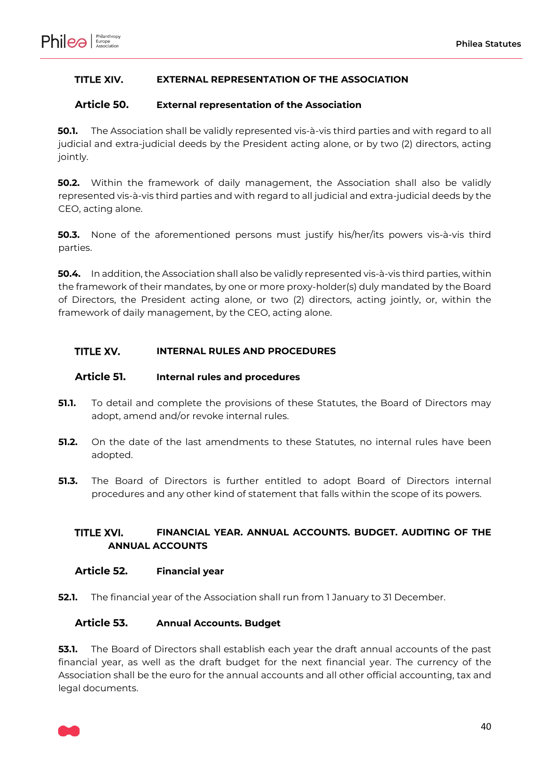

#### <span id="page-39-1"></span>TITLE XIV. **EXTERNAL REPRESENTATION OF THE ASSOCIATION**

#### <span id="page-39-2"></span>**Article 50. External representation of the Association**

**50.1.** The Association shall be validly represented vis-à-vis third parties and with regard to all judicial and extra-judicial deeds by the President acting alone, or by two (2) directors, acting jointly.

**50.2.** Within the framework of daily management, the Association shall also be validly represented vis-à-vis third parties and with regard to all judicial and extra-judicial deeds by the CEO, acting alone.

**50.3.** None of the aforementioned persons must justify his/her/its powers vis-à-vis third parties.

**50.4.** In addition, the Association shall also be validly represented vis-à-vis third parties, within the framework of their mandates, by one or more proxy-holder(s) duly mandated by the Board of Directors, the President acting alone, or two (2) directors, acting jointly, or, within the framework of daily management, by the CEO, acting alone.

#### <span id="page-39-3"></span>TITLE XV. **INTERNAL RULES AND PROCEDURES**

#### <span id="page-39-4"></span>**Article 51. Internal rules and procedures**

- **51.1.** To detail and complete the provisions of these Statutes, the Board of Directors may adopt, amend and/or revoke internal rules.
- <span id="page-39-0"></span>**51.2.** On the date of the last amendments to these Statutes, no internal rules have been adopted.
- **51.3.** The Board of Directors is further entitled to adopt Board of Directors internal procedures and any other kind of statement that falls within the scope of its powers.

#### <span id="page-39-5"></span>**FINANCIAL YEAR. ANNUAL ACCOUNTS. BUDGET. AUDITING OF THE TITLE XVI. ANNUAL ACCOUNTS**

#### <span id="page-39-6"></span>**Article 52. Financial year**

**52.1.** The financial year of the Association shall run from 1 January to 31 December.

#### <span id="page-39-7"></span>**Article 53. Annual Accounts. Budget**

**53.1.** The Board of Directors shall establish each year the draft annual accounts of the past financial year, as well as the draft budget for the next financial year. The currency of the Association shall be the euro for the annual accounts and all other official accounting, tax and legal documents.

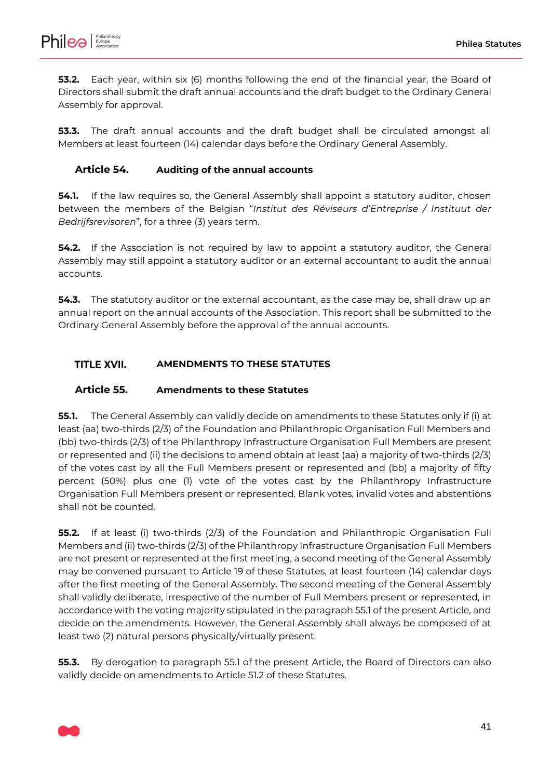

**53.2.** Each year, within six (6) months following the end of the financial year, the Board of Directors shall submit the draft annual accounts and the draft budget to the Ordinary General Assembly for approval.

**53.3.** The draft annual accounts and the draft budget shall be circulated amongst all Members at least fourteen (14) calendar days before the Ordinary General Assembly.

#### <span id="page-40-2"></span>**Article 54. Auditing of the annual accounts**

**54.1.** If the law requires so, the General Assembly shall appoint a statutory auditor, chosen between the members of the Belgian "*Institut des Réviseurs d'Entreprise / Instituut der Bedrijfsrevisoren*", for a three (3) years term.

**54.2.** If the Association is not required by law to appoint a statutory auditor, the General Assembly may still appoint a statutory auditor or an external accountant to audit the annual accounts.

**54.3.** The statutory auditor or the external accountant, as the case may be, shall draw up an annual report on the annual accounts of the Association. This report shall be submitted to the Ordinary General Assembly before the approval of the annual accounts.

#### <span id="page-40-3"></span>**TITLE XVII. AMENDMENTS TO THESE STATUTES**

#### <span id="page-40-0"></span>**Article 55. Amendments to these Statutes**

<span id="page-40-1"></span>**55.1.** The General Assembly can validly decide on amendments to these Statutes only if (i) at least (aa) two-thirds (2/3) of the Foundation and Philanthropic Organisation Full Members and (bb) two-thirds (2/3) of the Philanthropy Infrastructure Organisation Full Members are present or represented and (ii) the decisions to amend obtain at least (aa) a majority of two-thirds (2/3) of the votes cast by all the Full Members present or represented and (bb) a majority of fifty percent (50%) plus one (1) vote of the votes cast by the Philanthropy Infrastructure Organisation Full Members present or represented. Blank votes, invalid votes and abstentions shall not be counted.

**55.2.** If at least (i) two-thirds (2/3) of the Foundation and Philanthropic Organisation Full Members and (ii) two-thirds (2/3) of the Philanthropy Infrastructure Organisation Full Members are not present or represented at the first meeting, a second meeting of the General Assembly may be convened pursuant to [Article 19](#page-11-0) of these Statutes, at least fourteen (14) calendar days after the first meeting of the General Assembly. The second meeting of the General Assembly shall validly deliberate, irrespective of the number of Full Members present or represented, in accordance with the voting majority stipulated in the paragraph [55.1](#page-40-1) of the present Article, and decide on the amendments. However, the General Assembly shall always be composed of at least two (2) natural persons physically/virtually present.

**55.3.** By derogation to paragraph [55.1](#page-40-1) of the present Article, the Board of Directors can also validly decide on amendments to Article [51.2](#page-39-0) of these Statutes.

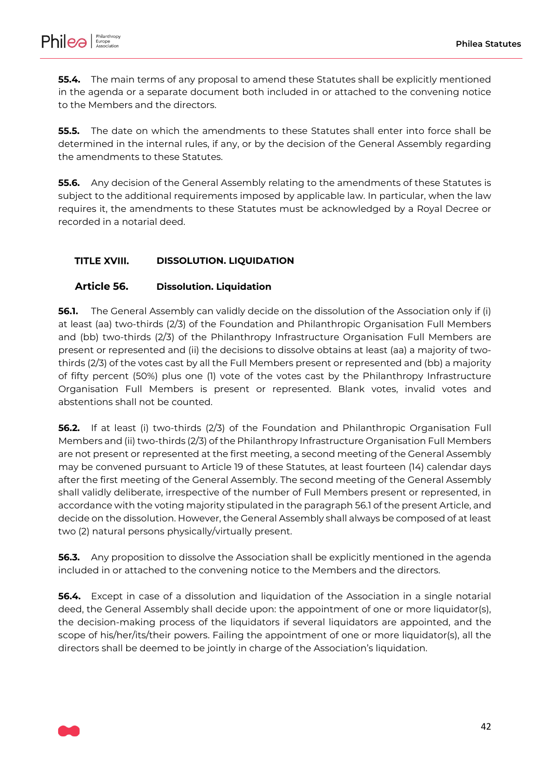

**55.4.** The main terms of any proposal to amend these Statutes shall be explicitly mentioned in the agenda or a separate document both included in or attached to the convening notice to the Members and the directors.

**55.5.** The date on which the amendments to these Statutes shall enter into force shall be determined in the internal rules, if any, or by the decision of the General Assembly regarding the amendments to these Statutes.

**55.6.** Any decision of the General Assembly relating to the amendments of these Statutes is subject to the additional requirements imposed by applicable law. In particular, when the law requires it, the amendments to these Statutes must be acknowledged by a Royal Decree or recorded in a notarial deed.

#### <span id="page-41-1"></span>**TITLE XVIII. DISSOLUTION. LIQUIDATION**

### <span id="page-41-2"></span>**Article 56. Dissolution. Liquidation**

<span id="page-41-0"></span>**56.1.** The General Assembly can validly decide on the dissolution of the Association only if (i) at least (aa) two-thirds (2/3) of the Foundation and Philanthropic Organisation Full Members and (bb) two-thirds (2/3) of the Philanthropy Infrastructure Organisation Full Members are present or represented and (ii) the decisions to dissolve obtains at least (aa) a majority of twothirds (2/3) of the votes cast by all the Full Members present or represented and (bb) a majority of fifty percent (50%) plus one (1) vote of the votes cast by the Philanthropy Infrastructure Organisation Full Members is present or represented. Blank votes, invalid votes and abstentions shall not be counted.

**56.2.** If at least (i) two-thirds (2/3) of the Foundation and Philanthropic Organisation Full Members and (ii) two-thirds (2/3) of the Philanthropy Infrastructure Organisation Full Members are not present or represented at the first meeting, a second meeting of the General Assembly may be convened pursuant to [Article 19](#page-11-0) of these Statutes, at least fourteen (14) calendar days after the first meeting of the General Assembly. The second meeting of the General Assembly shall validly deliberate, irrespective of the number of Full Members present or represented, in accordance with the voting majority stipulated in the paragrap[h 56.1](#page-41-0) of the present Article, and decide on the dissolution. However, the General Assembly shall always be composed of at least two (2) natural persons physically/virtually present.

**56.3.** Any proposition to dissolve the Association shall be explicitly mentioned in the agenda included in or attached to the convening notice to the Members and the directors.

**56.4.** Except in case of a dissolution and liquidation of the Association in a single notarial deed, the General Assembly shall decide upon: the appointment of one or more liquidator(s), the decision-making process of the liquidators if several liquidators are appointed, and the scope of his/her/its/their powers. Failing the appointment of one or more liquidator(s), all the directors shall be deemed to be jointly in charge of the Association's liquidation.

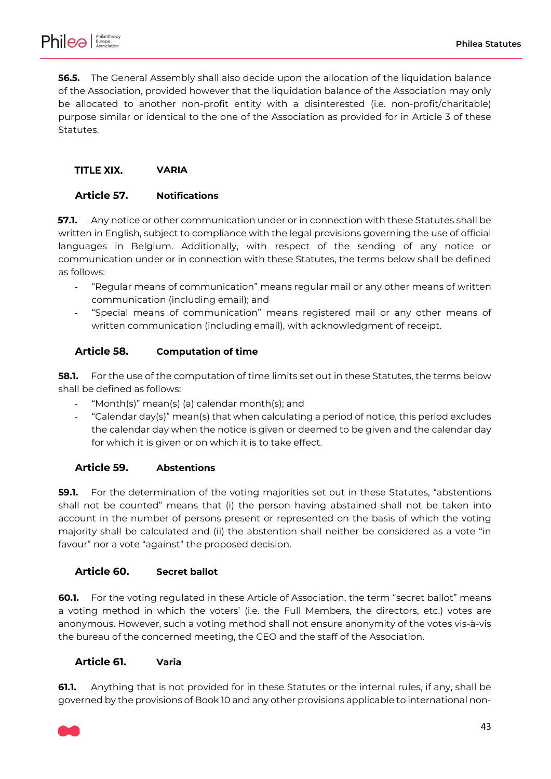

**56.5.** The General Assembly shall also decide upon the allocation of the liquidation balance of the Association, provided however that the liquidation balance of the Association may only be allocated to another non-profit entity with a disinterested (i.e. non-profit/charitable) purpose similar or identical to the one of the Association as provided for in [Article 3](#page-2-0) of these Statutes.

#### <span id="page-42-0"></span>TITLE XIX. **VARIA**

### <span id="page-42-1"></span>**Article 57. Notifications**

**57.1.** Any notice or other communication under or in connection with these Statutes shall be written in English, subject to compliance with the legal provisions governing the use of official languages in Belgium. Additionally, with respect of the sending of any notice or communication under or in connection with these Statutes, the terms below shall be defined as follows:

- "Regular means of communication" means regular mail or any other means of written communication (including email); and
- "Special means of communication" means registered mail or any other means of written communication (including email), with acknowledgment of receipt.

### <span id="page-42-2"></span>**Article 58. Computation of time**

**58.1.** For the use of the computation of time limits set out in these Statutes, the terms below shall be defined as follows:

- "Month(s)" mean(s) (a) calendar month(s); and
- "Calendar day(s)" mean(s) that when calculating a period of notice, this period excludes the calendar day when the notice is given or deemed to be given and the calendar day for which it is given or on which it is to take effect.

### <span id="page-42-3"></span>**Article 59. Abstentions**

**59.1.** For the determination of the voting majorities set out in these Statutes, "abstentions shall not be counted" means that (i) the person having abstained shall not be taken into account in the number of persons present or represented on the basis of which the voting majority shall be calculated and (ii) the abstention shall neither be considered as a vote "in favour" nor a vote "against" the proposed decision.

### <span id="page-42-4"></span>**Article 60. Secret ballot**

**60.1.** For the voting regulated in these Article of Association, the term "secret ballot" means a voting method in which the voters' (i.e. the Full Members, the directors, etc.) votes are anonymous. However, such a voting method shall not ensure anonymity of the votes vis-à-vis the bureau of the concerned meeting, the CEO and the staff of the Association.

### <span id="page-42-5"></span>**Article 61. Varia**

**61.1.** Anything that is not provided for in these Statutes or the internal rules, if any, shall be governed by the provisions of Book 10 and any other provisions applicable to international non-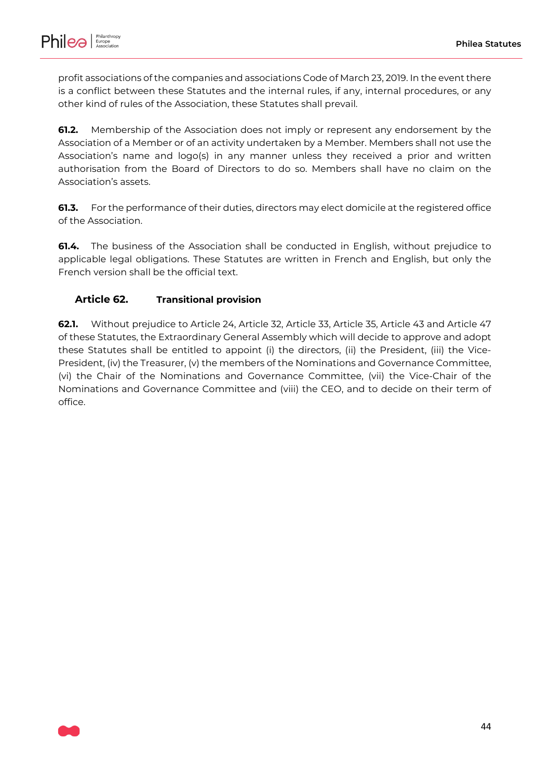

profit associations of the companies and associations Code of March 23, 2019. In the event there is a conflict between these Statutes and the internal rules, if any, internal procedures, or any other kind of rules of the Association, these Statutes shall prevail.

**61.2.** Membership of the Association does not imply or represent any endorsement by the Association of a Member or of an activity undertaken by a Member. Members shall not use the Association's name and logo(s) in any manner unless they received a prior and written authorisation from the Board of Directors to do so. Members shall have no claim on the Association's assets.

**61.3.** For the performance of their duties, directors may elect domicile at the registered office of the Association.

**61.4.** The business of the Association shall be conducted in English, without prejudice to applicable legal obligations. These Statutes are written in French and English, but only the French version shall be the official text.

# <span id="page-43-0"></span>**Article 62. Transitional provision**

**62.1.** Without prejudice to [Article 24,](#page-14-0) [Article 32,](#page-22-0) [Article 33,](#page-23-2) [Article 35,](#page-24-1) [Article 43](#page-33-0) and [Article 47](#page-37-0) of these Statutes, the Extraordinary General Assembly which will decide to approve and adopt these Statutes shall be entitled to appoint (i) the directors, (ii) the President, (iii) the Vice-President, (iv) the Treasurer, (v) the members of the Nominations and Governance Committee, (vi) the Chair of the Nominations and Governance Committee, (vii) the Vice-Chair of the Nominations and Governance Committee and (viii) the CEO, and to decide on their term of office.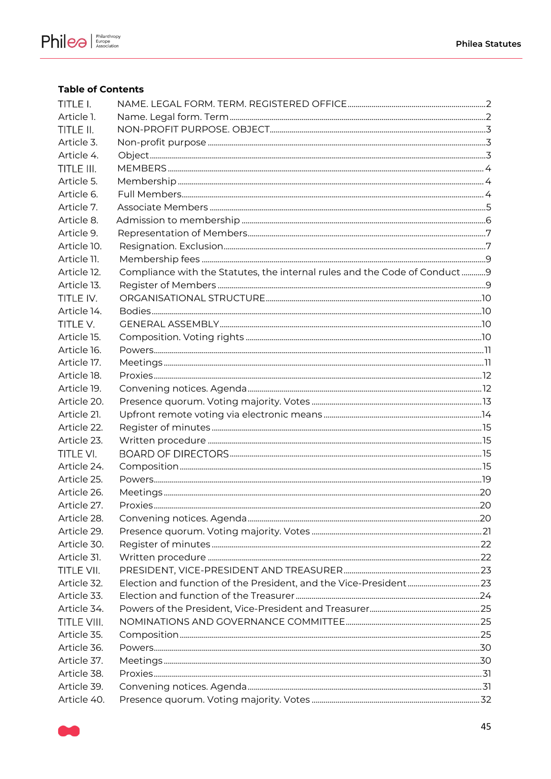

## **Table of Contents**

| TITLE I.    |                                                                           |  |
|-------------|---------------------------------------------------------------------------|--|
| Article 1.  |                                                                           |  |
| TITLE II.   |                                                                           |  |
| Article 3.  |                                                                           |  |
| Article 4.  |                                                                           |  |
| TITLE III.  |                                                                           |  |
| Article 5.  |                                                                           |  |
| Article 6.  |                                                                           |  |
| Article 7.  |                                                                           |  |
| Article 8.  |                                                                           |  |
| Article 9.  |                                                                           |  |
| Article 10. |                                                                           |  |
| Article 11. |                                                                           |  |
| Article 12. | Compliance with the Statutes, the internal rules and the Code of Conduct9 |  |
| Article 13. |                                                                           |  |
| TITLE IV.   |                                                                           |  |
| Article 14. |                                                                           |  |
| TITLE V.    |                                                                           |  |
| Article 15. |                                                                           |  |
| Article 16. |                                                                           |  |
| Article 17. |                                                                           |  |
| Article 18. |                                                                           |  |
| Article 19. |                                                                           |  |
| Article 20. |                                                                           |  |
| Article 21. |                                                                           |  |
| Article 22. |                                                                           |  |
| Article 23. |                                                                           |  |
| TITLE VI.   |                                                                           |  |
| Article 24. |                                                                           |  |
| Article 25. |                                                                           |  |
| Article 26. |                                                                           |  |
| Article 27. |                                                                           |  |
| Article 28. |                                                                           |  |
| Article 29. |                                                                           |  |
| Article 30. |                                                                           |  |
| Article 31. |                                                                           |  |
| TITLE VII.  |                                                                           |  |
| Article 32. |                                                                           |  |
| Article 33. |                                                                           |  |
| Article 34. |                                                                           |  |
| TITLE VIII. |                                                                           |  |
| Article 35. |                                                                           |  |
| Article 36. |                                                                           |  |
| Article 37. |                                                                           |  |
| Article 38. |                                                                           |  |
| Article 39. |                                                                           |  |
| Article 40. |                                                                           |  |